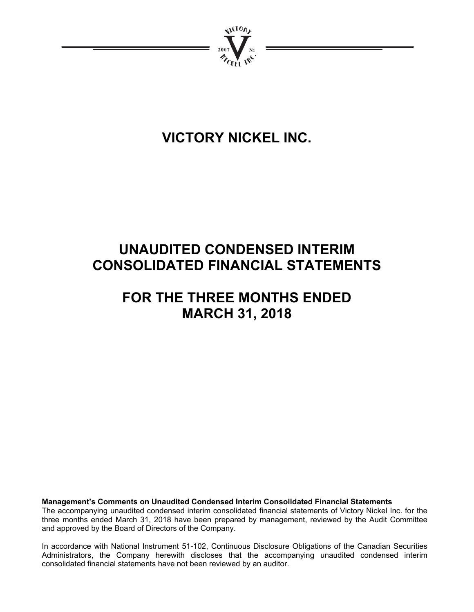

# **VICTORY NICKEL INC.**

# **UNAUDITED CONDENSED INTERIM CONSOLIDATED FINANCIAL STATEMENTS**

# **FOR THE THREE MONTHS ENDED MARCH 31, 2018**

**Management's Comments on Unaudited Condensed Interim Consolidated Financial Statements**  The accompanying unaudited condensed interim consolidated financial statements of Victory Nickel Inc. for the three months ended March 31, 2018 have been prepared by management, reviewed by the Audit Committee and approved by the Board of Directors of the Company.

In accordance with National Instrument 51-102, Continuous Disclosure Obligations of the Canadian Securities Administrators, the Company herewith discloses that the accompanying unaudited condensed interim consolidated financial statements have not been reviewed by an auditor.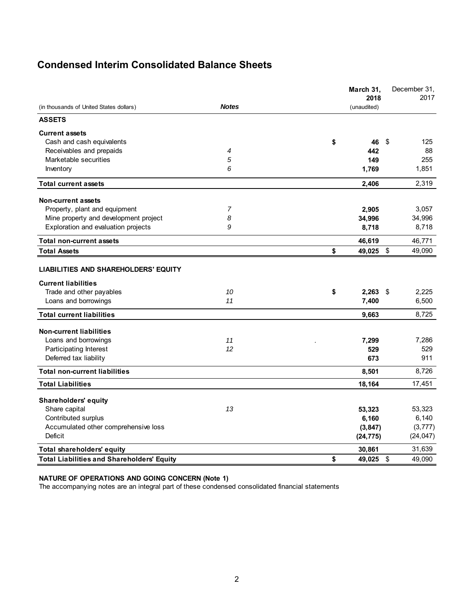# **Condensed Interim Consolidated Balance Sheets**

|                                                                                |                | March 31,<br>2018    | December 31.<br>2017              |
|--------------------------------------------------------------------------------|----------------|----------------------|-----------------------------------|
| (in thousands of United States dollars)                                        | <b>Notes</b>   | (unaudited)          |                                   |
| <b>ASSETS</b>                                                                  |                |                      |                                   |
| <b>Current assets</b>                                                          |                |                      |                                   |
| Cash and cash equivalents                                                      |                | \$<br>46             | -\$<br>125                        |
| Receivables and prepaids                                                       | 4              | 442                  | 88                                |
| Marketable securities                                                          | 5              | 149                  | 255                               |
| Inventory                                                                      | 6              | 1,769                | 1,851                             |
| <b>Total current assets</b>                                                    |                | 2,406                | 2,319                             |
| Non-current assets                                                             |                |                      |                                   |
| Property, plant and equipment                                                  | $\overline{7}$ | 2,905                | 3,057                             |
| Mine property and development project                                          | 8              | 34,996               | 34,996                            |
| Exploration and evaluation projects                                            | 9              | 8,718                | 8,718                             |
| <b>Total non-current assets</b>                                                |                | 46,619               | 46,771                            |
| <b>Total Assets</b>                                                            |                | \$<br>49,025         | $\sqrt[6]{\frac{1}{2}}$<br>49,090 |
| <b>Current liabilities</b><br>Trade and other payables<br>Loans and borrowings | 10<br>11       | \$<br>2,263<br>7,400 | 2,225<br>- \$<br>6,500            |
| <b>Total current liabilities</b>                                               |                | 9,663                | 8,725                             |
| <b>Non-current liabilities</b>                                                 |                |                      |                                   |
| Loans and borrowings                                                           | 11             | 7,299                | 7,286                             |
| Participating Interest                                                         | 12             | 529                  | 529                               |
| Deferred tax liability                                                         |                | 673                  | 911                               |
| <b>Total non-current liabilities</b>                                           |                | 8,501                | 8,726                             |
| <b>Total Liabilities</b>                                                       |                | 18,164               | 17,451                            |
| <b>Shareholders' equity</b>                                                    |                |                      |                                   |
| Share capital                                                                  | 13             | 53,323               | 53,323                            |
| Contributed surplus                                                            |                | 6,160                | 6,140                             |
| Accumulated other comprehensive loss                                           |                | (3, 847)             | (3, 777)                          |
| <b>Deficit</b>                                                                 |                | (24, 775)            | (24, 047)                         |
| Total shareholders' equity                                                     |                | 30,861               | 31,639                            |
| <b>Total Liabilities and Shareholders' Equity</b>                              |                | \$<br>49,025         | \$<br>49,090                      |

## **NATURE OF OPERATIONS AND GOING CONCERN (Note 1)**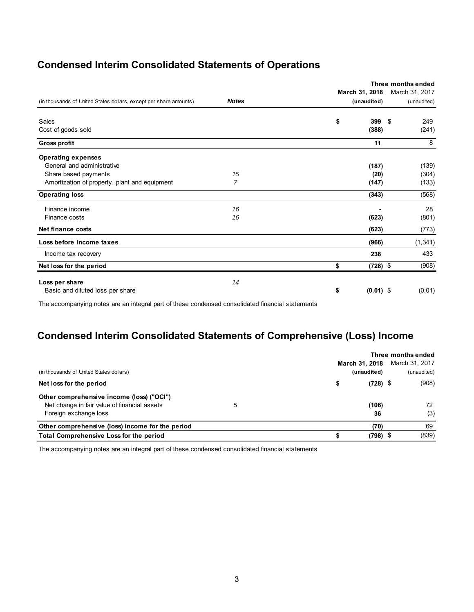# **Condensed Interim Consolidated Statements of Operations**

|                                                                   |              | Three months ended |            |                |  |  |  |
|-------------------------------------------------------------------|--------------|--------------------|------------|----------------|--|--|--|
|                                                                   |              | March 31, 2018     |            | March 31, 2017 |  |  |  |
| (in thousands of United States dollars, except per share amounts) | <b>Notes</b> | (unaudited)        |            | (unaudited)    |  |  |  |
| Sales                                                             |              | \$<br>399          | \$         | 249            |  |  |  |
| Cost of goods sold                                                |              | (388)              |            | (241)          |  |  |  |
| <b>Gross profit</b>                                               |              | 11                 |            | 8              |  |  |  |
| <b>Operating expenses</b>                                         |              |                    |            |                |  |  |  |
| General and administrative                                        |              | (187)              |            | (139)          |  |  |  |
| Share based payments                                              | 15           | (20)               |            | (304)          |  |  |  |
| Amortization of property, plant and equipment                     | 7            | (147)              |            | (133)          |  |  |  |
| <b>Operating loss</b>                                             |              | (343)              |            | (568)          |  |  |  |
| Finance income                                                    | 16           |                    |            | 28             |  |  |  |
| Finance costs                                                     | 16           | (623)              |            | (801)          |  |  |  |
| <b>Net finance costs</b>                                          |              | (623)              |            | (773)          |  |  |  |
| Loss before income taxes                                          |              | (966)              |            | (1, 341)       |  |  |  |
| Income tax recovery                                               |              | 238                |            | 433            |  |  |  |
| Net loss for the period                                           |              | \$                 | $(728)$ \$ | (908)          |  |  |  |
| Loss per share                                                    | 14           |                    |            |                |  |  |  |
| Basic and diluted loss per share                                  |              | \$<br>$(0.01)$ \$  |            | (0.01)         |  |  |  |

The accompanying notes are an integral part of these condensed consolidated financial statements

# **Condensed Interim Consolidated Statements of Comprehensive (Loss) Income**

|                                                  | Three months ended |                |            |  |                |  |  |
|--------------------------------------------------|--------------------|----------------|------------|--|----------------|--|--|
|                                                  |                    | March 31, 2018 |            |  | March 31, 2017 |  |  |
| (in thousands of United States dollars)          |                    | (unaudited)    |            |  | (unaudited)    |  |  |
| Net loss for the period                          |                    |                | $(728)$ \$ |  | (908)          |  |  |
| Other comprehensive income (loss) ("OCI")        |                    |                |            |  |                |  |  |
| Net change in fair value of financial assets     | 5                  |                | (106)      |  | 72             |  |  |
| Foreign exchange loss                            |                    |                | 36         |  | (3)            |  |  |
| Other comprehensive (loss) income for the period |                    |                | (70)       |  | 69             |  |  |
| <b>Total Comprehensive Loss for the period</b>   |                    |                | 798)       |  | (839)          |  |  |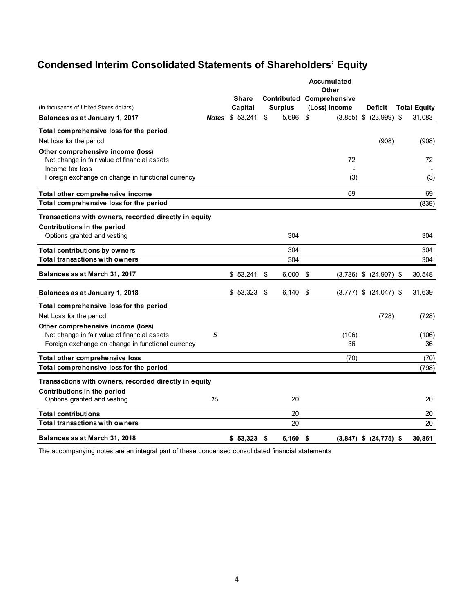# **Condensed Interim Consolidated Statements of Shareholders' Equity**

| (in thousands of United States dollars)                                                              |    | <b>Share</b><br>Capital | <b>Surplus</b> | Accumulated<br>Other<br><b>Contributed Comprehensive</b><br>(Loss) Income | Deficit                    | <b>Total Equity</b> |
|------------------------------------------------------------------------------------------------------|----|-------------------------|----------------|---------------------------------------------------------------------------|----------------------------|---------------------|
| Balances as at January 1, 2017                                                                       |    | <b>Notes \$ 53,241</b>  | \$<br>5,696    | \$<br>(3, 855)                                                            | \$ (23,999)                | \$<br>31,083        |
| Total comprehensive loss for the period                                                              |    |                         |                |                                                                           |                            |                     |
| Net loss for the period                                                                              |    |                         |                |                                                                           | (908)                      | (908)               |
| Other comprehensive income (loss)<br>Net change in fair value of financial assets<br>Income tax loss |    |                         |                | 72                                                                        |                            | 72                  |
| Foreign exchange on change in functional currency                                                    |    |                         |                | (3)                                                                       |                            | (3)                 |
| Total other comprehensive income                                                                     |    |                         |                | 69                                                                        |                            | 69                  |
| Total comprehensive loss for the period                                                              |    |                         |                |                                                                           |                            | (839)               |
| Transactions with owners, recorded directly in equity                                                |    |                         |                |                                                                           |                            |                     |
| Contributions in the period                                                                          |    |                         |                |                                                                           |                            |                     |
| Options granted and vesting                                                                          |    |                         | 304            |                                                                           |                            | 304                 |
| <b>Total contributions by owners</b>                                                                 |    |                         | 304            |                                                                           |                            | 304                 |
| <b>Total transactions with owners</b>                                                                |    |                         | 304            |                                                                           |                            | 304                 |
| Balances as at March 31, 2017                                                                        |    | \$53,241                | \$<br>6,000    | \$                                                                        | $(3,786)$ \$ $(24,907)$ \$ | 30,548              |
| Balances as at January 1, 2018                                                                       |    | \$53,323                | \$<br>6,140    | \$<br>(3, 777)                                                            | \$ (24, 047) \$            | 31,639              |
| Total comprehensive loss for the period                                                              |    |                         |                |                                                                           |                            |                     |
| Net Loss for the period                                                                              |    |                         |                |                                                                           | (728)                      | (728)               |
| Other comprehensive income (loss)                                                                    |    |                         |                |                                                                           |                            |                     |
| Net change in fair value of financial assets                                                         | 5  |                         |                | (106)                                                                     |                            | (106)               |
| Foreign exchange on change in functional currency                                                    |    |                         |                | 36                                                                        |                            | 36                  |
| Total other comprehensive loss                                                                       |    |                         |                | (70)                                                                      |                            | (70)                |
| Total comprehensive loss for the period                                                              |    |                         |                |                                                                           |                            | (798)               |
| Transactions with owners, recorded directly in equity                                                |    |                         |                |                                                                           |                            |                     |
| Contributions in the period                                                                          |    |                         |                |                                                                           |                            |                     |
| Options granted and vesting                                                                          | 15 |                         | 20             |                                                                           |                            | 20                  |
| <b>Total contributions</b>                                                                           |    |                         | 20             |                                                                           |                            | 20                  |
| <b>Total transactions with owners</b>                                                                |    |                         | 20             |                                                                           |                            | 20                  |
| Balances as at March 31, 2018                                                                        |    | \$53,323                | \$<br>6.160    | \$                                                                        | $(3,847)$ \$ $(24,775)$ \$ | 30.861              |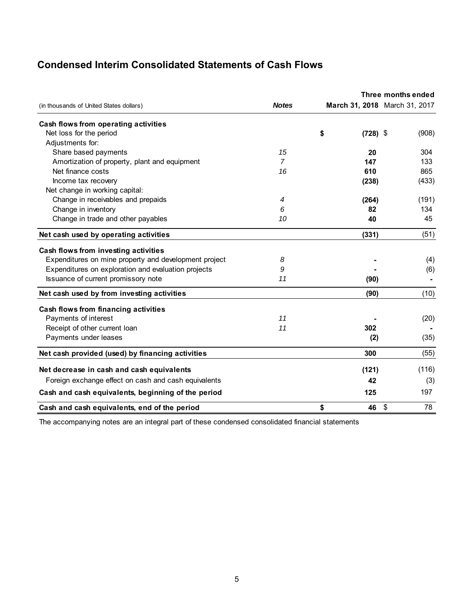# **Condensed Interim Consolidated Statements of Cash Flows**

|                                                       |                |                               | Three months ended |       |
|-------------------------------------------------------|----------------|-------------------------------|--------------------|-------|
| (in thousands of United States dollars)               | <b>Notes</b>   | March 31, 2018 March 31, 2017 |                    |       |
| Cash flows from operating activities                  |                |                               |                    |       |
| Net loss for the period                               |                | \$<br>$(728)$ \$              |                    | (908) |
| Adjustments for:                                      |                |                               |                    |       |
| Share based payments                                  | 15             | 20                            |                    | 304   |
| Amortization of property, plant and equipment         | $\overline{7}$ | 147                           |                    | 133   |
| Net finance costs                                     | 16             | 610                           |                    | 865   |
| Income tax recovery                                   |                | (238)                         |                    | (433) |
| Net change in working capital:                        |                |                               |                    |       |
| Change in receivables and prepaids                    | 4              | (264)                         |                    | (191) |
| Change in inventory                                   | 6              | 82                            |                    | 134   |
| Change in trade and other payables                    | 10             | 40                            |                    | 45    |
| Net cash used by operating activities                 |                | (331)                         |                    | (51)  |
| Cash flows from investing activities                  |                |                               |                    |       |
| Expenditures on mine property and development project | 8              |                               |                    | (4)   |
| Expenditures on exploration and evaluation projects   | 9              |                               |                    | (6)   |
| Issuance of current promissory note                   | 11             | (90)                          |                    |       |
| Net cash used by from investing activities            |                | (90)                          |                    | (10)  |
| Cash flows from financing activities                  |                |                               |                    |       |
| Payments of interest                                  | 11             |                               |                    | (20)  |
| Receipt of other current loan                         | 11             | 302                           |                    |       |
| Payments under leases                                 |                | (2)                           |                    | (35)  |
| Net cash provided (used) by financing activities      |                | 300                           |                    | (55)  |
| Net decrease in cash and cash equivalents             |                | (121)                         |                    | (116) |
| Foreign exchange effect on cash and cash equivalents  |                | 42                            |                    | (3)   |
| Cash and cash equivalents, beginning of the period    |                | 125                           |                    | 197   |
| Cash and cash equivalents, end of the period          |                | \$<br>46                      | \$                 | 78    |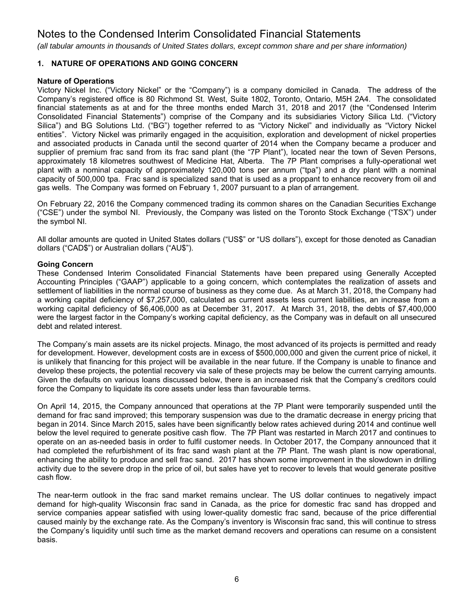*(all tabular amounts in thousands of United States dollars, except common share and per share information)*

# **1. NATURE OF OPERATIONS AND GOING CONCERN**

## **Nature of Operations**

Victory Nickel Inc. ("Victory Nickel" or the "Company") is a company domiciled in Canada. The address of the Company's registered office is 80 Richmond St. West, Suite 1802, Toronto, Ontario, M5H 2A4. The consolidated financial statements as at and for the three months ended March 31, 2018 and 2017 (the "Condensed Interim Consolidated Financial Statements") comprise of the Company and its subsidiaries Victory Silica Ltd. ("Victory Silica") and BG Solutions Ltd. ("BG") together referred to as "Victory Nickel" and individually as "Victory Nickel entities". Victory Nickel was primarily engaged in the acquisition, exploration and development of nickel properties and associated products in Canada until the second quarter of 2014 when the Company became a producer and supplier of premium frac sand from its frac sand plant (the "7P Plant"), located near the town of Seven Persons, approximately 18 kilometres southwest of Medicine Hat, Alberta. The 7P Plant comprises a fully-operational wet plant with a nominal capacity of approximately 120,000 tons per annum ("tpa") and a dry plant with a nominal capacity of 500,000 tpa. Frac sand is specialized sand that is used as a proppant to enhance recovery from oil and gas wells. The Company was formed on February 1, 2007 pursuant to a plan of arrangement.

On February 22, 2016 the Company commenced trading its common shares on the Canadian Securities Exchange ("CSE") under the symbol NI. Previously, the Company was listed on the Toronto Stock Exchange ("TSX") under the symbol NI.

All dollar amounts are quoted in United States dollars ("US\$" or "US dollars"), except for those denoted as Canadian dollars ("CAD\$") or Australian dollars ("AU\$").

## **Going Concern**

These Condensed Interim Consolidated Financial Statements have been prepared using Generally Accepted Accounting Principles ("GAAP") applicable to a going concern, which contemplates the realization of assets and settlement of liabilities in the normal course of business as they come due. As at March 31, 2018, the Company had a working capital deficiency of \$7,257,000, calculated as current assets less current liabilities, an increase from a working capital deficiency of \$6,406,000 as at December 31, 2017. At March 31, 2018, the debts of \$7,400,000 were the largest factor in the Company's working capital deficiency, as the Company was in default on all unsecured debt and related interest.

The Company's main assets are its nickel projects. Minago, the most advanced of its projects is permitted and ready for development. However, development costs are in excess of \$500,000,000 and given the current price of nickel, it is unlikely that financing for this project will be available in the near future. If the Company is unable to finance and develop these projects, the potential recovery via sale of these projects may be below the current carrying amounts. Given the defaults on various loans discussed below, there is an increased risk that the Company's creditors could force the Company to liquidate its core assets under less than favourable terms.

On April 14, 2015, the Company announced that operations at the 7P Plant were temporarily suspended until the demand for frac sand improved; this temporary suspension was due to the dramatic decrease in energy pricing that began in 2014. Since March 2015, sales have been significantly below rates achieved during 2014 and continue well below the level required to generate positive cash flow. The 7P Plant was restarted in March 2017 and continues to operate on an as-needed basis in order to fulfil customer needs. In October 2017, the Company announced that it had completed the refurbishment of its frac sand wash plant at the 7P Plant. The wash plant is now operational, enhancing the ability to produce and sell frac sand. 2017 has shown some improvement in the slowdown in drilling activity due to the severe drop in the price of oil, but sales have yet to recover to levels that would generate positive cash flow.

The near-term outlook in the frac sand market remains unclear. The US dollar continues to negatively impact demand for high-quality Wisconsin frac sand in Canada, as the price for domestic frac sand has dropped and service companies appear satisfied with using lower-quality domestic frac sand, because of the price differential caused mainly by the exchange rate. As the Company's inventory is Wisconsin frac sand, this will continue to stress the Company's liquidity until such time as the market demand recovers and operations can resume on a consistent basis.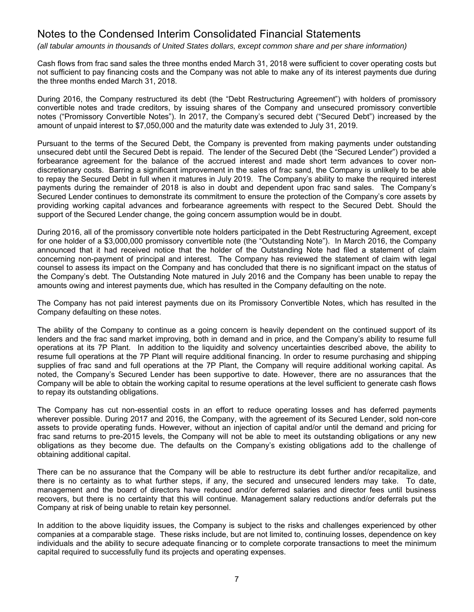*(all tabular amounts in thousands of United States dollars, except common share and per share information)*

Cash flows from frac sand sales the three months ended March 31, 2018 were sufficient to cover operating costs but not sufficient to pay financing costs and the Company was not able to make any of its interest payments due during the three months ended March 31, 2018.

During 2016, the Company restructured its debt (the "Debt Restructuring Agreement") with holders of promissory convertible notes and trade creditors, by issuing shares of the Company and unsecured promissory convertible notes ("Promissory Convertible Notes"). In 2017, the Company's secured debt ("Secured Debt") increased by the amount of unpaid interest to \$7,050,000 and the maturity date was extended to July 31, 2019.

Pursuant to the terms of the Secured Debt, the Company is prevented from making payments under outstanding unsecured debt until the Secured Debt is repaid. The lender of the Secured Debt (the "Secured Lender") provided a forbearance agreement for the balance of the accrued interest and made short term advances to cover nondiscretionary costs. Barring a significant improvement in the sales of frac sand, the Company is unlikely to be able to repay the Secured Debt in full when it matures in July 2019. The Company's ability to make the required interest payments during the remainder of 2018 is also in doubt and dependent upon frac sand sales. The Company's Secured Lender continues to demonstrate its commitment to ensure the protection of the Company's core assets by providing working capital advances and forbearance agreements with respect to the Secured Debt. Should the support of the Secured Lender change, the going concern assumption would be in doubt.

During 2016, all of the promissory convertible note holders participated in the Debt Restructuring Agreement, except for one holder of a \$3,000,000 promissory convertible note (the "Outstanding Note"). In March 2016, the Company announced that it had received notice that the holder of the Outstanding Note had filed a statement of claim concerning non-payment of principal and interest. The Company has reviewed the statement of claim with legal counsel to assess its impact on the Company and has concluded that there is no significant impact on the status of the Company's debt. The Outstanding Note matured in July 2016 and the Company has been unable to repay the amounts owing and interest payments due, which has resulted in the Company defaulting on the note.

The Company has not paid interest payments due on its Promissory Convertible Notes, which has resulted in the Company defaulting on these notes.

The ability of the Company to continue as a going concern is heavily dependent on the continued support of its lenders and the frac sand market improving, both in demand and in price, and the Company's ability to resume full operations at its 7P Plant. In addition to the liquidity and solvency uncertainties described above, the ability to resume full operations at the 7P Plant will require additional financing. In order to resume purchasing and shipping supplies of frac sand and full operations at the 7P Plant, the Company will require additional working capital. As noted, the Company's Secured Lender has been supportive to date. However, there are no assurances that the Company will be able to obtain the working capital to resume operations at the level sufficient to generate cash flows to repay its outstanding obligations.

The Company has cut non-essential costs in an effort to reduce operating losses and has deferred payments wherever possible. During 2017 and 2016, the Company, with the agreement of its Secured Lender, sold non-core assets to provide operating funds. However, without an injection of capital and/or until the demand and pricing for frac sand returns to pre-2015 levels, the Company will not be able to meet its outstanding obligations or any new obligations as they become due. The defaults on the Company's existing obligations add to the challenge of obtaining additional capital.

There can be no assurance that the Company will be able to restructure its debt further and/or recapitalize, and there is no certainty as to what further steps, if any, the secured and unsecured lenders may take. To date, management and the board of directors have reduced and/or deferred salaries and director fees until business recovers, but there is no certainty that this will continue. Management salary reductions and/or deferrals put the Company at risk of being unable to retain key personnel.

In addition to the above liquidity issues, the Company is subject to the risks and challenges experienced by other companies at a comparable stage. These risks include, but are not limited to, continuing losses, dependence on key individuals and the ability to secure adequate financing or to complete corporate transactions to meet the minimum capital required to successfully fund its projects and operating expenses.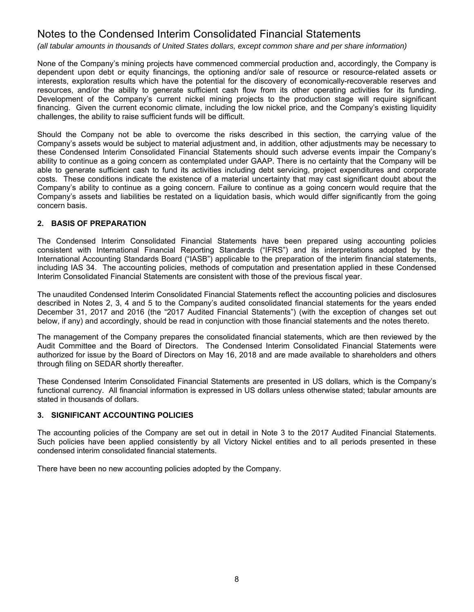*(all tabular amounts in thousands of United States dollars, except common share and per share information)*

None of the Company's mining projects have commenced commercial production and, accordingly, the Company is dependent upon debt or equity financings, the optioning and/or sale of resource or resource-related assets or interests, exploration results which have the potential for the discovery of economically-recoverable reserves and resources, and/or the ability to generate sufficient cash flow from its other operating activities for its funding. Development of the Company's current nickel mining projects to the production stage will require significant financing. Given the current economic climate, including the low nickel price, and the Company's existing liquidity challenges, the ability to raise sufficient funds will be difficult.

Should the Company not be able to overcome the risks described in this section, the carrying value of the Company's assets would be subject to material adjustment and, in addition, other adjustments may be necessary to these Condensed Interim Consolidated Financial Statements should such adverse events impair the Company's ability to continue as a going concern as contemplated under GAAP. There is no certainty that the Company will be able to generate sufficient cash to fund its activities including debt servicing, project expenditures and corporate costs. These conditions indicate the existence of a material uncertainty that may cast significant doubt about the Company's ability to continue as a going concern. Failure to continue as a going concern would require that the Company's assets and liabilities be restated on a liquidation basis, which would differ significantly from the going concern basis.

# **2. BASIS OF PREPARATION**

The Condensed Interim Consolidated Financial Statements have been prepared using accounting policies consistent with International Financial Reporting Standards ("IFRS") and its interpretations adopted by the International Accounting Standards Board ("IASB") applicable to the preparation of the interim financial statements, including IAS 34. The accounting policies, methods of computation and presentation applied in these Condensed Interim Consolidated Financial Statements are consistent with those of the previous fiscal year.

The unaudited Condensed Interim Consolidated Financial Statements reflect the accounting policies and disclosures described in Notes 2, 3, 4 and 5 to the Company's audited consolidated financial statements for the years ended December 31, 2017 and 2016 (the "2017 Audited Financial Statements") (with the exception of changes set out below, if any) and accordingly, should be read in conjunction with those financial statements and the notes thereto.

The management of the Company prepares the consolidated financial statements, which are then reviewed by the Audit Committee and the Board of Directors. The Condensed Interim Consolidated Financial Statements were authorized for issue by the Board of Directors on May 16, 2018 and are made available to shareholders and others through filing on SEDAR shortly thereafter.

These Condensed Interim Consolidated Financial Statements are presented in US dollars, which is the Company's functional currency. All financial information is expressed in US dollars unless otherwise stated; tabular amounts are stated in thousands of dollars.

# **3. SIGNIFICANT ACCOUNTING POLICIES**

The accounting policies of the Company are set out in detail in Note 3 to the 2017 Audited Financial Statements. Such policies have been applied consistently by all Victory Nickel entities and to all periods presented in these condensed interim consolidated financial statements.

There have been no new accounting policies adopted by the Company.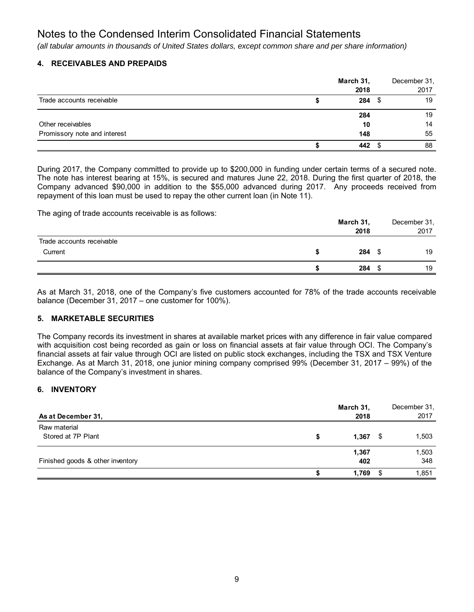*(all tabular amounts in thousands of United States dollars, except common share and per share information)*

# **4. RECEIVABLES AND PREPAIDS**

|                              | March 31, | December 31, |
|------------------------------|-----------|--------------|
|                              | 2018      | 2017         |
| Trade accounts receivable    | $284$ \$  | 19           |
|                              | 284       | 19           |
| Other receivables            | 10        | 14           |
| Promissory note and interest | 148       | 55           |
|                              | 442       | 88           |

During 2017, the Company committed to provide up to \$200,000 in funding under certain terms of a secured note. The note has interest bearing at 15%, is secured and matures June 22, 2018. During the first quarter of 2018, the Company advanced \$90,000 in addition to the \$55,000 advanced during 2017. Any proceeds received from repayment of this loan must be used to repay the other current loan (in Note 11).

The aging of trade accounts receivable is as follows:

|                           | March 31,<br>2018 | December 31,<br>2017 |
|---------------------------|-------------------|----------------------|
| Trade accounts receivable |                   |                      |
| Current                   | $284$ \$          | 19                   |
|                           | 284               | 19                   |
|                           |                   |                      |

As at March 31, 2018, one of the Company's five customers accounted for 78% of the trade accounts receivable balance (December 31, 2017 – one customer for 100%).

# **5. MARKETABLE SECURITIES**

The Company records its investment in shares at available market prices with any difference in fair value compared with acquisition cost being recorded as gain or loss on financial assets at fair value through OCI. The Company's financial assets at fair value through OCI are listed on public stock exchanges, including the TSX and TSX Venture Exchange. As at March 31, 2018, one junior mining company comprised 99% (December 31, 2017 – 99%) of the balance of the Company's investment in shares.

# **6. INVENTORY**

| As at December 31.                 |   | March 31,<br>2018 |    | December 31,<br>2017 |
|------------------------------------|---|-------------------|----|----------------------|
| Raw material<br>Stored at 7P Plant | J | 1,367             | \$ | 1,503                |
| Finished goods & other inventory   |   | 1,367<br>402      |    | 1,503<br>348         |
|                                    |   | 1,769             | S  | 1,851                |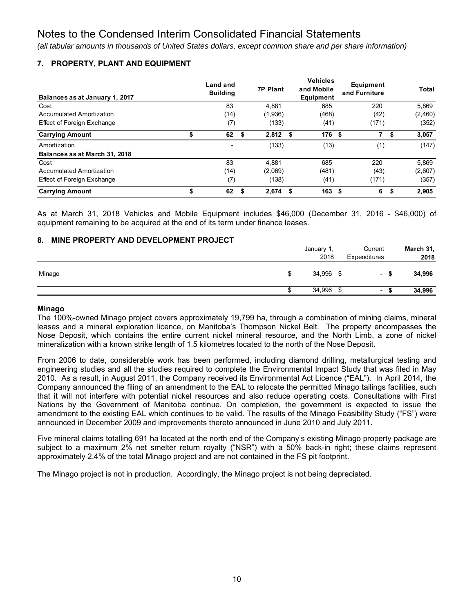*(all tabular amounts in thousands of United States dollars, except common share and per share information)*

# **7. PROPERTY, PLANT AND EQUIPMENT**

| Balances as at January 1, 2017    |   | Land and<br><b>Building</b> |    | <b>7P Plant</b> | <b>Vehicles</b><br>and Mobile<br>Equipment | Equipment<br>and Furniture |   | Total   |
|-----------------------------------|---|-----------------------------|----|-----------------|--------------------------------------------|----------------------------|---|---------|
| Cost                              |   | 83                          |    | 4.881           | 685                                        | 220                        |   | 5.869   |
| Accumulated Amortization          |   | (14)                        |    | (1,936)         | (468)                                      | (42)                       |   | (2,460) |
| <b>Effect of Foreign Exchange</b> |   | (7)                         |    | (133)           | (41)                                       | (171)                      |   | (352)   |
| <b>Carrying Amount</b>            | S | 62                          | \$ | 2,812           | \$<br>176 \$                               | 7                          | S | 3,057   |
| Amortization                      |   | ٠                           |    | (133)           | (13)                                       | (1)                        |   | (147)   |
| Balances as at March 31, 2018     |   |                             |    |                 |                                            |                            |   |         |
| Cost                              |   | 83                          |    | 4.881           | 685                                        | 220                        |   | 5.869   |
| Accumulated Amortization          |   | (14)                        |    | (2,069)         | (481)                                      | (43)                       |   | (2,607) |
| <b>Effect of Foreign Exchange</b> |   | (7)                         |    | (138)           | (41)                                       | (171)                      |   | (357)   |
| <b>Carrying Amount</b>            |   | 62                          | S  | 2.674           | 163                                        | 6                          | S | 2.905   |

As at March 31, 2018 Vehicles and Mobile Equipment includes \$46,000 (December 31, 2016 - \$46,000) of equipment remaining to be acquired at the end of its term under finance leases.

# **8. MINE PROPERTY AND DEVELOPMENT PROJECT**

|        |   | January 1,<br>2018 | Current<br>Expenditures  |      | March 31,<br>2018 |
|--------|---|--------------------|--------------------------|------|-------------------|
| Minago | S | 34,996 \$          | $\overline{\phantom{a}}$ | S    | 34,996            |
|        |   | 34,996 \$          | $\sim$                   | - 33 | 34,996            |

#### **Minago**

The 100%-owned Minago project covers approximately 19,799 ha, through a combination of mining claims, mineral leases and a mineral exploration licence, on Manitoba's Thompson Nickel Belt. The property encompasses the Nose Deposit, which contains the entire current nickel mineral resource, and the North Limb, a zone of nickel mineralization with a known strike length of 1.5 kilometres located to the north of the Nose Deposit.

From 2006 to date, considerable work has been performed, including diamond drilling, metallurgical testing and engineering studies and all the studies required to complete the Environmental Impact Study that was filed in May 2010. As a result, in August 2011, the Company received its Environmental Act Licence ("EAL"). In April 2014, the Company announced the filing of an amendment to the EAL to relocate the permitted Minago tailings facilities, such that it will not interfere with potential nickel resources and also reduce operating costs. Consultations with First Nations by the Government of Manitoba continue. On completion, the government is expected to issue the amendment to the existing EAL which continues to be valid. The results of the Minago Feasibility Study ("FS") were announced in December 2009 and improvements thereto announced in June 2010 and July 2011.

Five mineral claims totalling 691 ha located at the north end of the Company's existing Minago property package are subject to a maximum 2% net smelter return royalty ("NSR") with a 50% back-in right; these claims represent approximately 2.4% of the total Minago project and are not contained in the FS pit footprint.

The Minago project is not in production. Accordingly, the Minago project is not being depreciated.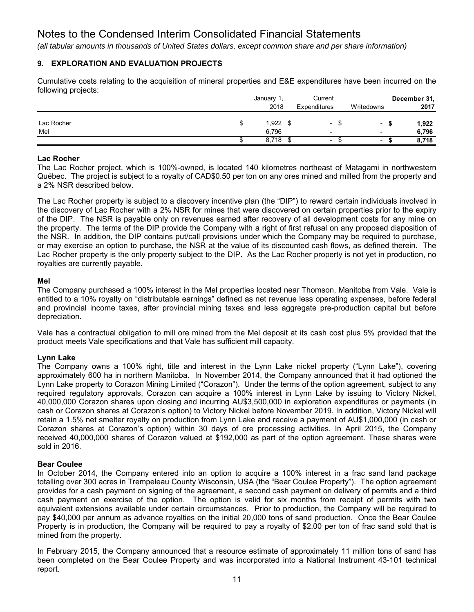*(all tabular amounts in thousands of United States dollars, except common share and per share information)*

# **9. EXPLORATION AND EVALUATION PROJECTS**

Cumulative costs relating to the acquisition of mineral properties and E&E expenditures have been incurred on the following projects:

|            |   | January 1, |  | Current                  |                          | December 31, |
|------------|---|------------|--|--------------------------|--------------------------|--------------|
|            |   | 2018       |  | Expenditures             | Writedowns               | 2017         |
|            |   |            |  |                          |                          |              |
| Lac Rocher | S | 1,922      |  | $\overline{\phantom{a}}$ | ٠                        | 1,922<br>5   |
| Mel        |   | 6.796      |  | $\overline{\phantom{0}}$ | $\overline{\phantom{0}}$ | 6,796        |
|            |   | 8,718      |  | $\overline{\phantom{a}}$ | $\overline{\phantom{a}}$ | 8,718        |

# **Lac Rocher**

The Lac Rocher project, which is 100%-owned, is located 140 kilometres northeast of Matagami in northwestern Québec. The project is subject to a royalty of CAD\$0.50 per ton on any ores mined and milled from the property and a 2% NSR described below.

The Lac Rocher property is subject to a discovery incentive plan (the "DIP") to reward certain individuals involved in the discovery of Lac Rocher with a 2% NSR for mines that were discovered on certain properties prior to the expiry of the DIP. The NSR is payable only on revenues earned after recovery of all development costs for any mine on the property. The terms of the DIP provide the Company with a right of first refusal on any proposed disposition of the NSR. In addition, the DIP contains put/call provisions under which the Company may be required to purchase, or may exercise an option to purchase, the NSR at the value of its discounted cash flows, as defined therein. The Lac Rocher property is the only property subject to the DIP. As the Lac Rocher property is not yet in production, no royalties are currently payable.

# **Mel**

The Company purchased a 100% interest in the Mel properties located near Thomson, Manitoba from Vale. Vale is entitled to a 10% royalty on "distributable earnings" defined as net revenue less operating expenses, before federal and provincial income taxes, after provincial mining taxes and less aggregate pre-production capital but before depreciation.

Vale has a contractual obligation to mill ore mined from the Mel deposit at its cash cost plus 5% provided that the product meets Vale specifications and that Vale has sufficient mill capacity.

# **Lynn Lake**

The Company owns a 100% right, title and interest in the Lynn Lake nickel property ("Lynn Lake"), covering approximately 600 ha in northern Manitoba. In November 2014, the Company announced that it had optioned the Lynn Lake property to Corazon Mining Limited ("Corazon"). Under the terms of the option agreement, subject to any required regulatory approvals, Corazon can acquire a 100% interest in Lynn Lake by issuing to Victory Nickel, 40,000,000 Corazon shares upon closing and incurring AU\$3,500,000 in exploration expenditures or payments (in cash or Corazon shares at Corazon's option) to Victory Nickel before November 2019. In addition, Victory Nickel will retain a 1.5% net smelter royalty on production from Lynn Lake and receive a payment of AU\$1,000,000 (in cash or Corazon shares at Corazon's option) within 30 days of ore processing activities. In April 2015, the Company received 40,000,000 shares of Corazon valued at \$192,000 as part of the option agreement. These shares were sold in 2016.

## **Bear Coulee**

In October 2014, the Company entered into an option to acquire a 100% interest in a frac sand land package totalling over 300 acres in Trempeleau County Wisconsin, USA (the "Bear Coulee Property"). The option agreement provides for a cash payment on signing of the agreement, a second cash payment on delivery of permits and a third cash payment on exercise of the option. The option is valid for six months from receipt of permits with two equivalent extensions available under certain circumstances. Prior to production, the Company will be required to pay \$40,000 per annum as advance royalties on the initial 20,000 tons of sand production. Once the Bear Coulee Property is in production, the Company will be required to pay a royalty of \$2.00 per ton of frac sand sold that is mined from the property.

In February 2015, the Company announced that a resource estimate of approximately 11 million tons of sand has been completed on the Bear Coulee Property and was incorporated into a National Instrument 43-101 technical report.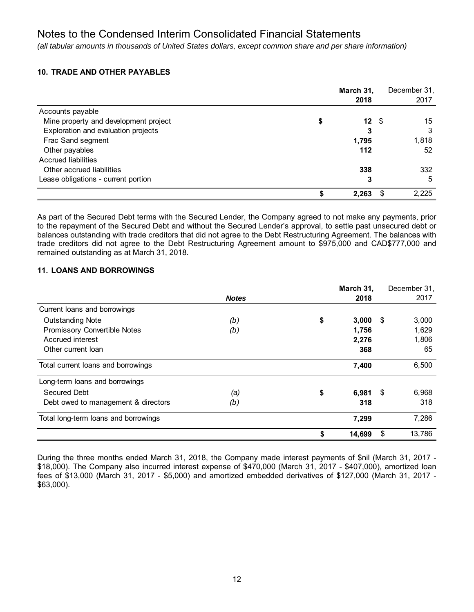*(all tabular amounts in thousands of United States dollars, except common share and per share information)*

# **10. TRADE AND OTHER PAYABLES**

|                                       |   | March 31, |     | December 31, |
|---------------------------------------|---|-----------|-----|--------------|
|                                       |   | 2018      |     | 2017         |
| Accounts payable                      |   |           |     |              |
| Mine property and development project | S | 12S       |     | 15           |
| Exploration and evaluation projects   |   | 3         |     | 3            |
| Frac Sand segment                     |   | 1,795     |     | 1,818        |
| Other payables                        |   | 112       |     | 52           |
| <b>Accrued liabilities</b>            |   |           |     |              |
| Other accrued liabilities             |   | 338       |     | 332          |
| Lease obligations - current portion   |   | 3         |     | 5            |
|                                       |   | 2,263     | \$. | 2,225        |

As part of the Secured Debt terms with the Secured Lender, the Company agreed to not make any payments, prior to the repayment of the Secured Debt and without the Secured Lender's approval, to settle past unsecured debt or balances outstanding with trade creditors that did not agree to the Debt Restructuring Agreement. The balances with trade creditors did not agree to the Debt Restructuring Agreement amount to \$975,000 and CAD\$777,000 and remained outstanding as at March 31, 2018.

# **11. LOANS AND BORROWINGS**

|                                      |              |    | March 31, |    | December 31, |
|--------------------------------------|--------------|----|-----------|----|--------------|
|                                      | <b>Notes</b> |    | 2018      |    | 2017         |
| Current loans and borrowings         |              |    |           |    |              |
| <b>Outstanding Note</b>              | (b)          | \$ | 3,000     | \$ | 3,000        |
| Promissory Convertible Notes         | (b)          |    | 1,756     |    | 1,629        |
| Accrued interest                     |              |    | 2,276     |    | 1,806        |
| Other current loan                   |              |    | 368       |    | 65           |
| Total current loans and borrowings   |              |    | 7,400     |    | 6,500        |
| Long-term loans and borrowings       |              |    |           |    |              |
| Secured Debt                         | (a)          | \$ | 6,981     | S. | 6,968        |
| Debt owed to management & directors  | (b)          |    | 318       |    | 318          |
| Total long-term loans and borrowings |              |    | 7,299     |    | 7,286        |
|                                      |              | S  | 14,699    | \$ | 13,786       |

During the three months ended March 31, 2018, the Company made interest payments of \$nil (March 31, 2017 - \$18,000). The Company also incurred interest expense of \$470,000 (March 31, 2017 - \$407,000), amortized loan fees of \$13,000 (March 31, 2017 - \$5,000) and amortized embedded derivatives of \$127,000 (March 31, 2017 - \$63,000).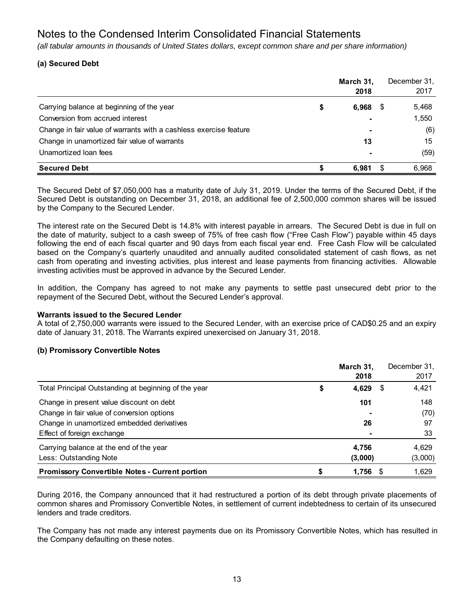*(all tabular amounts in thousands of United States dollars, except common share and per share information)*

# **(a) Secured Debt**

|                                                                   | March 31,<br>2018        | December 31,<br>2017 |
|-------------------------------------------------------------------|--------------------------|----------------------|
| Carrying balance at beginning of the year                         | \$<br>6,968              | \$<br>5,468          |
| Conversion from accrued interest                                  | $\overline{\phantom{0}}$ | 1,550                |
| Change in fair value of warrants with a cashless exercise feature | $\blacksquare$           | (6)                  |
| Change in unamortized fair value of warrants                      | 13                       | 15                   |
| Unamortized Ioan fees                                             | $\blacksquare$           | (59)                 |
| <b>Secured Debt</b>                                               | 6.981                    | 6,968                |

The Secured Debt of \$7,050,000 has a maturity date of July 31, 2019. Under the terms of the Secured Debt, if the Secured Debt is outstanding on December 31, 2018, an additional fee of 2,500,000 common shares will be issued by the Company to the Secured Lender.

The interest rate on the Secured Debt is 14.8% with interest payable in arrears. The Secured Debt is due in full on the date of maturity, subject to a cash sweep of 75% of free cash flow ("Free Cash Flow") payable within 45 days following the end of each fiscal quarter and 90 days from each fiscal year end. Free Cash Flow will be calculated based on the Company's quarterly unaudited and annually audited consolidated statement of cash flows, as net cash from operating and investing activities, plus interest and lease payments from financing activities. Allowable investing activities must be approved in advance by the Secured Lender.

In addition, the Company has agreed to not make any payments to settle past unsecured debt prior to the repayment of the Secured Debt, without the Secured Lender's approval.

# **Warrants issued to the Secured Lender**

A total of 2,750,000 warrants were issued to the Secured Lender, with an exercise price of CAD\$0.25 and an expiry date of January 31, 2018. The Warrants expired unexercised on January 31, 2018.

# **(b) Promissory Convertible Notes**

|                                                       | March 31.<br>2018 |   | December 31,<br>2017 |
|-------------------------------------------------------|-------------------|---|----------------------|
| Total Principal Outstanding at beginning of the year  | \$<br>4,629       | S | 4,421                |
| Change in present value discount on debt              | 101               |   | 148                  |
| Change in fair value of conversion options            |                   |   | (70)                 |
| Change in unamortized embedded derivatives            | 26                |   | 97                   |
| Effect of foreign exchange                            |                   |   | 33                   |
| Carrying balance at the end of the year               | 4,756             |   | 4,629                |
| Less: Outstanding Note                                | (3,000)           |   | (3,000)              |
| <b>Promissory Convertible Notes - Current portion</b> | 1,756             |   | 1,629                |

During 2016, the Company announced that it had restructured a portion of its debt through private placements of common shares and Promissory Convertible Notes, in settlement of current indebtedness to certain of its unsecured lenders and trade creditors.

The Company has not made any interest payments due on its Promissory Convertible Notes, which has resulted in the Company defaulting on these notes.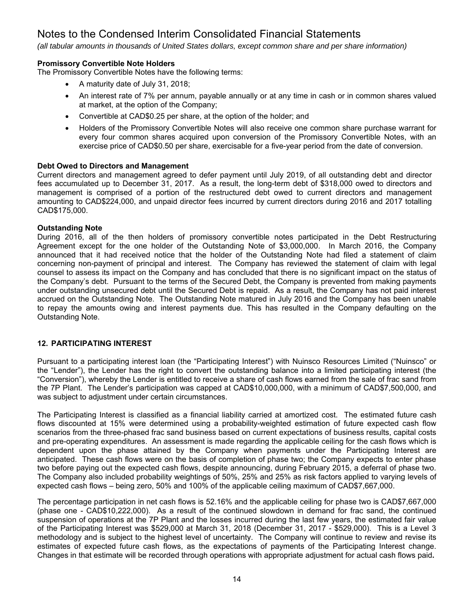*(all tabular amounts in thousands of United States dollars, except common share and per share information)*

# **Promissory Convertible Note Holders**

The Promissory Convertible Notes have the following terms:

- A maturity date of July 31, 2018;
- An interest rate of 7% per annum, payable annually or at any time in cash or in common shares valued at market, at the option of the Company;
- Convertible at CAD\$0.25 per share, at the option of the holder; and
- Holders of the Promissory Convertible Notes will also receive one common share purchase warrant for every four common shares acquired upon conversion of the Promissory Convertible Notes, with an exercise price of CAD\$0.50 per share, exercisable for a five-year period from the date of conversion.

# **Debt Owed to Directors and Management**

Current directors and management agreed to defer payment until July 2019, of all outstanding debt and director fees accumulated up to December 31, 2017. As a result, the long-term debt of \$318,000 owed to directors and management is comprised of a portion of the restructured debt owed to current directors and management amounting to CAD\$224,000, and unpaid director fees incurred by current directors during 2016 and 2017 totalling CAD\$175,000.

# **Outstanding Note**

During 2016, all of the then holders of promissory convertible notes participated in the Debt Restructuring Agreement except for the one holder of the Outstanding Note of \$3,000,000. In March 2016, the Company announced that it had received notice that the holder of the Outstanding Note had filed a statement of claim concerning non-payment of principal and interest. The Company has reviewed the statement of claim with legal counsel to assess its impact on the Company and has concluded that there is no significant impact on the status of the Company's debt. Pursuant to the terms of the Secured Debt, the Company is prevented from making payments under outstanding unsecured debt until the Secured Debt is repaid. As a result, the Company has not paid interest accrued on the Outstanding Note. The Outstanding Note matured in July 2016 and the Company has been unable to repay the amounts owing and interest payments due. This has resulted in the Company defaulting on the Outstanding Note.

# **12. PARTICIPATING INTEREST**

Pursuant to a participating interest loan (the "Participating Interest") with Nuinsco Resources Limited ("Nuinsco" or the "Lender"), the Lender has the right to convert the outstanding balance into a limited participating interest (the "Conversion"), whereby the Lender is entitled to receive a share of cash flows earned from the sale of frac sand from the 7P Plant. The Lender's participation was capped at CAD\$10,000,000, with a minimum of CAD\$7,500,000, and was subject to adjustment under certain circumstances.

The Participating Interest is classified as a financial liability carried at amortized cost. The estimated future cash flows discounted at 15% were determined using a probability-weighted estimation of future expected cash flow scenarios from the three-phased frac sand business based on current expectations of business results, capital costs and pre-operating expenditures. An assessment is made regarding the applicable ceiling for the cash flows which is dependent upon the phase attained by the Company when payments under the Participating Interest are anticipated. These cash flows were on the basis of completion of phase two; the Company expects to enter phase two before paying out the expected cash flows, despite announcing, during February 2015, a deferral of phase two. The Company also included probability weightings of 50%, 25% and 25% as risk factors applied to varying levels of expected cash flows – being zero, 50% and 100% of the applicable ceiling maximum of CAD\$7,667,000.

The percentage participation in net cash flows is 52.16% and the applicable ceiling for phase two is CAD\$7,667,000 (phase one - CAD\$10,222,000). As a result of the continued slowdown in demand for frac sand, the continued suspension of operations at the 7P Plant and the losses incurred during the last few years, the estimated fair value of the Participating Interest was \$529,000 at March 31, 2018 (December 31, 2017 - \$529,000). This is a Level 3 methodology and is subject to the highest level of uncertainty. The Company will continue to review and revise its estimates of expected future cash flows, as the expectations of payments of the Participating Interest change. Changes in that estimate will be recorded through operations with appropriate adjustment for actual cash flows paid**.**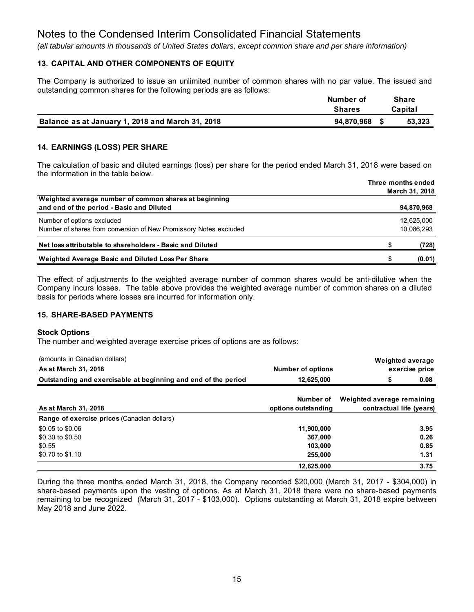*(all tabular amounts in thousands of United States dollars, except common share and per share information)*

# **13. CAPITAL AND OTHER COMPONENTS OF EQUITY**

The Company is authorized to issue an unlimited number of common shares with no par value. The issued and outstanding common shares for the following periods are as follows:

|                                                  | Number of     | Share   |
|--------------------------------------------------|---------------|---------|
|                                                  | <b>Shares</b> | Capital |
| Balance as at January 1, 2018 and March 31, 2018 | 94.870.968    | 53,323  |

# **14. EARNINGS (LOSS) PER SHARE**

The calculation of basic and diluted earnings (loss) per share for the period ended March 31, 2018 were based on the information in the table below.

|                                                                                                    | Three months ended<br>March 31, 2018 |                          |  |  |  |  |  |
|----------------------------------------------------------------------------------------------------|--------------------------------------|--------------------------|--|--|--|--|--|
| Weighted average number of common shares at beginning<br>and end of the period - Basic and Diluted |                                      | 94,870,968               |  |  |  |  |  |
| Number of options excluded<br>Number of shares from conversion of New Promissory Notes excluded    |                                      | 12.625.000<br>10.086.293 |  |  |  |  |  |
| Net loss attributable to shareholders - Basic and Diluted                                          |                                      | (728)                    |  |  |  |  |  |
| Weighted Average Basic and Diluted Loss Per Share                                                  | S                                    | (0.01)                   |  |  |  |  |  |

The effect of adjustments to the weighted average number of common shares would be anti-dilutive when the Company incurs losses. The table above provides the weighted average number of common shares on a diluted basis for periods where losses are incurred for information only.

## **15. SHARE-BASED PAYMENTS**

#### **Stock Options**

The number and weighted average exercise prices of options are as follows:

| (amounts in Canadian dollars)                                  |                          | <b>Weighted average</b>    |
|----------------------------------------------------------------|--------------------------|----------------------------|
| As at March 31, 2018                                           | <b>Number of options</b> | exercise price             |
| Outstanding and exercisable at beginning and end of the period | 12,625,000               | 0.08<br>J.                 |
|                                                                |                          |                            |
|                                                                | Number of                | Weighted average remaining |
| As at March 31, 2018                                           | options outstanding      | contractual life (years)   |
| <b>Range of exercise prices (Canadian dollars)</b>             |                          |                            |
| \$0.05 to \$0.06                                               | 11,900,000               | 3.95                       |
| \$0.30 to \$0.50                                               | 367.000                  | 0.26                       |
| \$0.55                                                         | 103.000                  | 0.85                       |
| \$0.70 to \$1.10                                               | 255,000                  | 1.31                       |
|                                                                | 12,625,000               | 3.75                       |

During the three months ended March 31, 2018, the Company recorded \$20,000 (March 31, 2017 - \$304,000) in share-based payments upon the vesting of options. As at March 31, 2018 there were no share-based payments remaining to be recognized (March 31, 2017 - \$103,000). Options outstanding at March 31, 2018 expire between May 2018 and June 2022.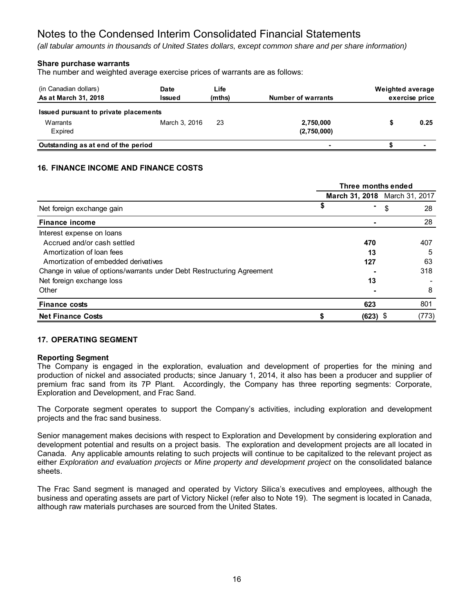*(all tabular amounts in thousands of United States dollars, except common share and per share information)*

# **Share purchase warrants**

The number and weighted average exercise prices of warrants are as follows:

| (in Canadian dollars)<br>As at March 31, 2018                | Date<br>Issued | Life<br>(mths) | Number of warrants       | Weighted average | exercise price |
|--------------------------------------------------------------|----------------|----------------|--------------------------|------------------|----------------|
| Issued pursuant to private placements<br>Warrants<br>Expired | March 3, 2016  | 23             | 2,750,000<br>(2,750,000) |                  | 0.25           |
| Outstanding as at end of the period                          |                |                |                          |                  |                |

# **16. FINANCE INCOME AND FINANCE COSTS**

|                                                                        | Three months ended |            |                               |       |
|------------------------------------------------------------------------|--------------------|------------|-------------------------------|-------|
|                                                                        |                    |            | March 31, 2018 March 31, 2017 |       |
| Net foreign exchange gain                                              | \$                 |            | \$                            | 28    |
| <b>Finance income</b>                                                  |                    |            |                               | 28    |
| Interest expense on loans                                              |                    |            |                               |       |
| Accrued and/or cash settled                                            |                    | 470        |                               | 407   |
| Amortization of loan fees                                              |                    | 13         |                               | 5     |
| Amortization of embedded derivatives                                   |                    | 127        |                               | 63    |
| Change in value of options/warrants under Debt Restructuring Agreement |                    |            |                               | 318   |
| Net foreign exchange loss                                              |                    | 13         |                               |       |
| Other                                                                  |                    |            |                               | 8     |
| <b>Finance costs</b>                                                   |                    | 623        |                               | 801   |
| <b>Net Finance Costs</b>                                               |                    | $(623)$ \$ |                               | (773) |

## **17. OPERATING SEGMENT**

## **Reporting Segment**

The Company is engaged in the exploration, evaluation and development of properties for the mining and production of nickel and associated products; since January 1, 2014, it also has been a producer and supplier of premium frac sand from its 7P Plant. Accordingly, the Company has three reporting segments: Corporate, Exploration and Development, and Frac Sand.

The Corporate segment operates to support the Company's activities, including exploration and development projects and the frac sand business.

Senior management makes decisions with respect to Exploration and Development by considering exploration and development potential and results on a project basis. The exploration and development projects are all located in Canada. Any applicable amounts relating to such projects will continue to be capitalized to the relevant project as either *Exploration and evaluation projects* or *Mine property and development project* on the consolidated balance sheets.

The Frac Sand segment is managed and operated by Victory Silica's executives and employees, although the business and operating assets are part of Victory Nickel (refer also to Note 19). The segment is located in Canada, although raw materials purchases are sourced from the United States.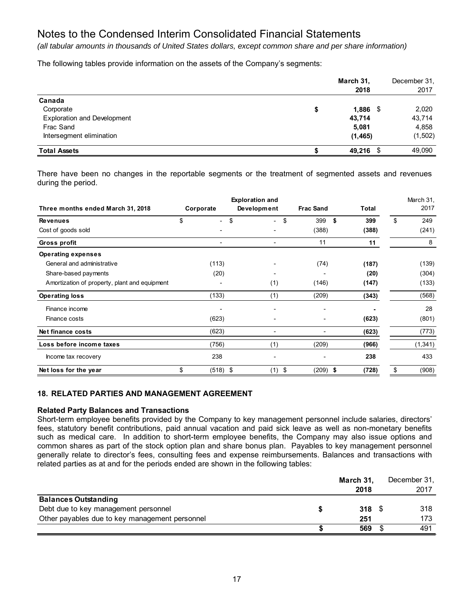*(all tabular amounts in thousands of United States dollars, except common share and per share information)*

The following tables provide information on the assets of the Company's segments:

|                                    | March 31,<br>2018 | December 31.<br>2017 |
|------------------------------------|-------------------|----------------------|
| Canada                             |                   |                      |
| Corporate                          | \$<br>$1,886$ \$  | 2,020                |
| <b>Exploration and Development</b> | 43,714            | 43,714               |
| Frac Sand                          | 5,081             | 4,858                |
| Intersegment elimination           | (1, 465)          | (1, 502)             |
| <b>Total Assets</b>                | 49,216 \$         | 49,090               |

There have been no changes in the reportable segments or the treatment of segmented assets and revenues during the period.

| Three months ended March 31, 2018             | Corporate | <b>Exploration and</b><br>Development |                                | <b>Frac Sand</b> | Total | March 31,<br>2017 |
|-----------------------------------------------|-----------|---------------------------------------|--------------------------------|------------------|-------|-------------------|
| <b>Revenues</b>                               | \$        | \$<br>$\overline{\phantom{a}}$        | \$<br>$\overline{\phantom{a}}$ | 399<br>\$        | 399   | \$<br>249         |
| Cost of goods sold                            |           |                                       |                                | (388)            | (388) | (241)             |
| Gross profit                                  |           | $\blacksquare$                        |                                | 11               | 11    | 8                 |
| <b>Operating expenses</b>                     |           |                                       |                                |                  |       |                   |
| General and administrative                    |           | (113)                                 |                                | (74)             | (187) | (139)             |
| Share-based payments                          |           | (20)                                  |                                |                  | (20)  | (304)             |
| Amortization of property, plant and equipment |           |                                       | (1)                            | (146)            | (147) | (133)             |
| <b>Operating loss</b>                         |           | (133)                                 | (1)                            | (209)            | (343) | (568)             |
| Finance income                                |           |                                       |                                |                  |       | 28                |
| Finance costs                                 |           | (623)                                 |                                |                  | (623) | (801)             |
| <b>Net finance costs</b>                      |           | (623)                                 | $\overline{\phantom{0}}$       |                  | (623) | (773)             |
| Loss before income taxes                      |           | (756)                                 | (1)                            | (209)            | (966) | (1, 341)          |
| Income tax recovery                           |           | 238                                   |                                |                  | 238   | 433               |
| Net loss for the year                         | \$        | $(518)$ \$                            | (1)<br>\$                      | $(209)$ \$       | (728) | \$<br>(908)       |

# **18. RELATED PARTIES AND MANAGEMENT AGREEMENT**

## **Related Party Balances and Transactions**

Short-term employee benefits provided by the Company to key management personnel include salaries, directors' fees, statutory benefit contributions, paid annual vacation and paid sick leave as well as non-monetary benefits such as medical care. In addition to short-term employee benefits, the Company may also issue options and common shares as part of the stock option plan and share bonus plan. Payables to key management personnel generally relate to director's fees, consulting fees and expense reimbursements. Balances and transactions with related parties as at and for the periods ended are shown in the following tables:

|                                                | March 31, | December 31, |
|------------------------------------------------|-----------|--------------|
|                                                | 2018      | 2017         |
| <b>Balances Outstanding</b>                    |           |              |
| Debt due to key management personnel           | 318       | 318          |
| Other payables due to key management personnel | 251       | 173          |
|                                                | 569       | 491          |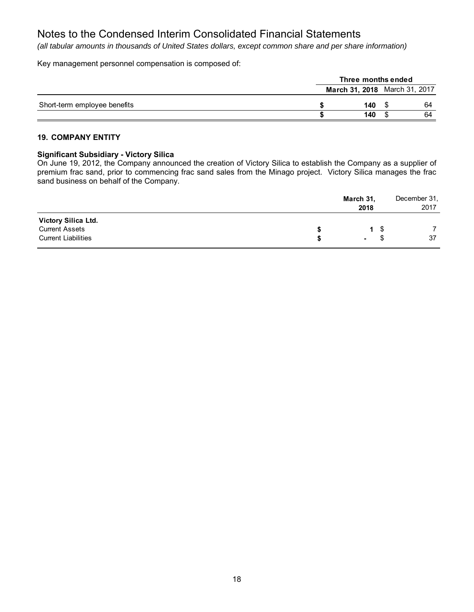*(all tabular amounts in thousands of United States dollars, except common share and per share information)*

Key management personnel compensation is composed of:

|                              | Three months ended |  |                                      |  |
|------------------------------|--------------------|--|--------------------------------------|--|
|                              |                    |  | <b>March 31, 2018</b> March 31, 2017 |  |
| Short-term employee benefits | 140                |  | 64                                   |  |
|                              | 140                |  | 64                                   |  |

# **19. COMPANY ENTITY**

# **Significant Subsidiary - Victory Silica**

On June 19, 2012, the Company announced the creation of Victory Silica to establish the Company as a supplier of premium frac sand, prior to commencing frac sand sales from the Minago project. Victory Silica manages the frac sand business on behalf of the Company.

|                                                                            | March 31,<br>2018 |           | December 31,<br>2017 |
|----------------------------------------------------------------------------|-------------------|-----------|----------------------|
| Victory Silica Ltd.<br><b>Current Assets</b><br><b>Current Liabilities</b> | $\blacksquare$    | 1 S<br>ж. | 37                   |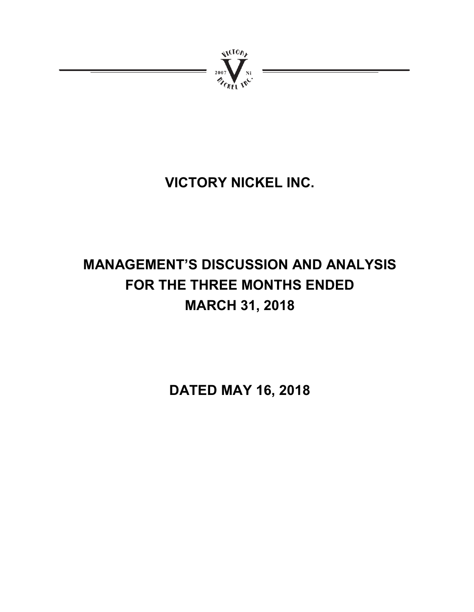

# **VICTORY NICKEL INC.**

# **MANAGEMENT'S DISCUSSION AND ANALYSIS FOR THE THREE MONTHS ENDED MARCH 31, 2018**

**DATED MAY 16, 2018**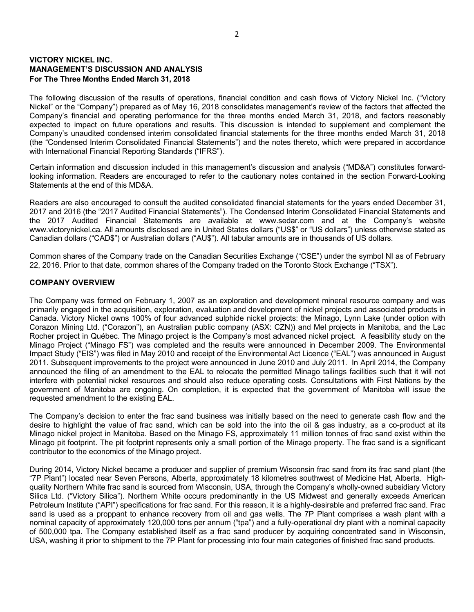# **VICTORY NICKEL INC. MANAGEMENT'S DISCUSSION AND ANALYSIS For The Three Months Ended March 31, 2018**

The following discussion of the results of operations, financial condition and cash flows of Victory Nickel Inc. ("Victory Nickel" or the "Company") prepared as of May 16, 2018 consolidates management's review of the factors that affected the Company's financial and operating performance for the three months ended March 31, 2018, and factors reasonably expected to impact on future operations and results. This discussion is intended to supplement and complement the Company's unaudited condensed interim consolidated financial statements for the three months ended March 31, 2018 (the "Condensed Interim Consolidated Financial Statements") and the notes thereto, which were prepared in accordance with International Financial Reporting Standards ("IFRS").

Certain information and discussion included in this management's discussion and analysis ("MD&A") constitutes forwardlooking information. Readers are encouraged to refer to the cautionary notes contained in the section Forward-Looking Statements at the end of this MD&A.

Readers are also encouraged to consult the audited consolidated financial statements for the years ended December 31, 2017 and 2016 (the "2017 Audited Financial Statements"). The Condensed Interim Consolidated Financial Statements and the 2017 Audited Financial Statements are available at www.sedar.com and at the Company's website www.victorynickel.ca. All amounts disclosed are in United States dollars ("US\$" or "US dollars") unless otherwise stated as Canadian dollars ("CAD\$") or Australian dollars ("AU\$"). All tabular amounts are in thousands of US dollars.

Common shares of the Company trade on the Canadian Securities Exchange ("CSE") under the symbol NI as of February 22, 2016. Prior to that date, common shares of the Company traded on the Toronto Stock Exchange ("TSX").

# **COMPANY OVERVIEW**

The Company was formed on February 1, 2007 as an exploration and development mineral resource company and was primarily engaged in the acquisition, exploration, evaluation and development of nickel projects and associated products in Canada. Victory Nickel owns 100% of four advanced sulphide nickel projects: the Minago, Lynn Lake (under option with Corazon Mining Ltd. ("Corazon"), an Australian public company (ASX: CZN)) and Mel projects in Manitoba, and the Lac Rocher project in Québec. The Minago project is the Company's most advanced nickel project. A feasibility study on the Minago Project ("Minago FS") was completed and the results were announced in December 2009. The Environmental Impact Study ("EIS") was filed in May 2010 and receipt of the Environmental Act Licence ("EAL") was announced in August 2011. Subsequent improvements to the project were announced in June 2010 and July 2011. In April 2014, the Company announced the filing of an amendment to the EAL to relocate the permitted Minago tailings facilities such that it will not interfere with potential nickel resources and should also reduce operating costs. Consultations with First Nations by the government of Manitoba are ongoing. On completion, it is expected that the government of Manitoba will issue the requested amendment to the existing EAL.

The Company's decision to enter the frac sand business was initially based on the need to generate cash flow and the desire to highlight the value of frac sand, which can be sold into the into the oil & gas industry, as a co-product at its Minago nickel project in Manitoba. Based on the Minago FS, approximately 11 million tonnes of frac sand exist within the Minago pit footprint. The pit footprint represents only a small portion of the Minago property. The frac sand is a significant contributor to the economics of the Minago project.

During 2014, Victory Nickel became a producer and supplier of premium Wisconsin frac sand from its frac sand plant (the "7P Plant") located near Seven Persons, Alberta, approximately 18 kilometres southwest of Medicine Hat, Alberta. Highquality Northern White frac sand is sourced from Wisconsin, USA, through the Company's wholly-owned subsidiary Victory Silica Ltd. ("Victory Silica"). Northern White occurs predominantly in the US Midwest and generally exceeds American Petroleum Institute ("API") specifications for frac sand. For this reason, it is a highly-desirable and preferred frac sand. Frac sand is used as a proppant to enhance recovery from oil and gas wells. The 7P Plant comprises a wash plant with a nominal capacity of approximately 120,000 tons per annum ("tpa") and a fully-operational dry plant with a nominal capacity of 500,000 tpa. The Company established itself as a frac sand producer by acquiring concentrated sand in Wisconsin, USA, washing it prior to shipment to the 7P Plant for processing into four main categories of finished frac sand products.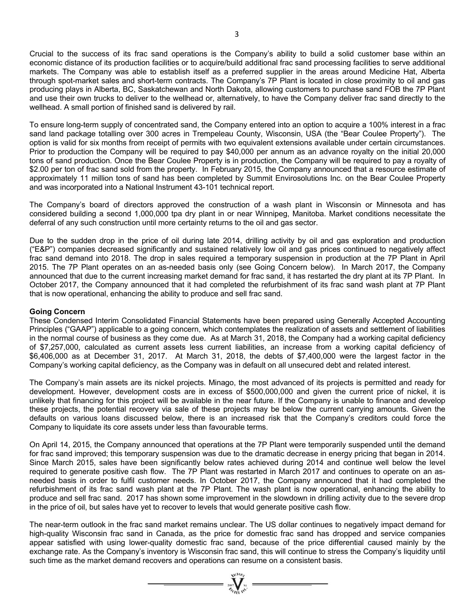Crucial to the success of its frac sand operations is the Company's ability to build a solid customer base within an economic distance of its production facilities or to acquire/build additional frac sand processing facilities to serve additional markets. The Company was able to establish itself as a preferred supplier in the areas around Medicine Hat, Alberta through spot-market sales and short-term contracts. The Company's 7P Plant is located in close proximity to oil and gas producing plays in Alberta, BC, Saskatchewan and North Dakota, allowing customers to purchase sand FOB the 7P Plant and use their own trucks to deliver to the wellhead or, alternatively, to have the Company deliver frac sand directly to the wellhead. A small portion of finished sand is delivered by rail.

To ensure long-term supply of concentrated sand, the Company entered into an option to acquire a 100% interest in a frac sand land package totalling over 300 acres in Trempeleau County, Wisconsin, USA (the "Bear Coulee Property"). The option is valid for six months from receipt of permits with two equivalent extensions available under certain circumstances. Prior to production the Company will be required to pay \$40,000 per annum as an advance royalty on the initial 20,000 tons of sand production. Once the Bear Coulee Property is in production, the Company will be required to pay a royalty of \$2.00 per ton of frac sand sold from the property. In February 2015, the Company announced that a resource estimate of approximately 11 million tons of sand has been completed by Summit Envirosolutions Inc. on the Bear Coulee Property and was incorporated into a National Instrument 43-101 technical report.

The Company's board of directors approved the construction of a wash plant in Wisconsin or Minnesota and has considered building a second 1,000,000 tpa dry plant in or near Winnipeg, Manitoba. Market conditions necessitate the deferral of any such construction until more certainty returns to the oil and gas sector.

Due to the sudden drop in the price of oil during late 2014, drilling activity by oil and gas exploration and production ("E&P") companies decreased significantly and sustained relatively low oil and gas prices continued to negatively affect frac sand demand into 2018. The drop in sales required a temporary suspension in production at the 7P Plant in April 2015. The 7P Plant operates on an as-needed basis only (see Going Concern below). In March 2017, the Company announced that due to the current increasing market demand for frac sand, it has restarted the dry plant at its 7P Plant. In October 2017, the Company announced that it had completed the refurbishment of its frac sand wash plant at 7P Plant that is now operational, enhancing the ability to produce and sell frac sand.

## **Going Concern**

These Condensed Interim Consolidated Financial Statements have been prepared using Generally Accepted Accounting Principles ("GAAP") applicable to a going concern, which contemplates the realization of assets and settlement of liabilities in the normal course of business as they come due. As at March 31, 2018, the Company had a working capital deficiency of \$7,257,000, calculated as current assets less current liabilities, an increase from a working capital deficiency of \$6,406,000 as at December 31, 2017. At March 31, 2018, the debts of \$7,400,000 were the largest factor in the Company's working capital deficiency, as the Company was in default on all unsecured debt and related interest.

The Company's main assets are its nickel projects. Minago, the most advanced of its projects is permitted and ready for development. However, development costs are in excess of \$500,000,000 and given the current price of nickel, it is unlikely that financing for this project will be available in the near future. If the Company is unable to finance and develop these projects, the potential recovery via sale of these projects may be below the current carrying amounts. Given the defaults on various loans discussed below, there is an increased risk that the Company's creditors could force the Company to liquidate its core assets under less than favourable terms.

On April 14, 2015, the Company announced that operations at the 7P Plant were temporarily suspended until the demand for frac sand improved; this temporary suspension was due to the dramatic decrease in energy pricing that began in 2014. Since March 2015, sales have been significantly below rates achieved during 2014 and continue well below the level required to generate positive cash flow. The 7P Plant was restarted in March 2017 and continues to operate on an asneeded basis in order to fulfil customer needs. In October 2017, the Company announced that it had completed the refurbishment of its frac sand wash plant at the 7P Plant. The wash plant is now operational, enhancing the ability to produce and sell frac sand. 2017 has shown some improvement in the slowdown in drilling activity due to the severe drop in the price of oil, but sales have yet to recover to levels that would generate positive cash flow.

The near-term outlook in the frac sand market remains unclear. The US dollar continues to negatively impact demand for high-quality Wisconsin frac sand in Canada, as the price for domestic frac sand has dropped and service companies appear satisfied with using lower-quality domestic frac sand, because of the price differential caused mainly by the exchange rate. As the Company's inventory is Wisconsin frac sand, this will continue to stress the Company's liquidity until such time as the market demand recovers and operations can resume on a consistent basis.

 $\sum_{\alpha_{\ell m} \in \mathbb{N}}^{\infty}$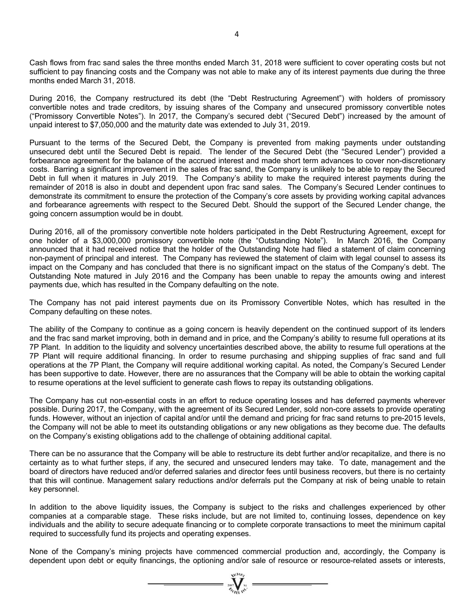Cash flows from frac sand sales the three months ended March 31, 2018 were sufficient to cover operating costs but not sufficient to pay financing costs and the Company was not able to make any of its interest payments due during the three months ended March 31, 2018.

During 2016, the Company restructured its debt (the "Debt Restructuring Agreement") with holders of promissory convertible notes and trade creditors, by issuing shares of the Company and unsecured promissory convertible notes ("Promissory Convertible Notes"). In 2017, the Company's secured debt ("Secured Debt") increased by the amount of unpaid interest to \$7,050,000 and the maturity date was extended to July 31, 2019.

Pursuant to the terms of the Secured Debt, the Company is prevented from making payments under outstanding unsecured debt until the Secured Debt is repaid. The lender of the Secured Debt (the "Secured Lender") provided a forbearance agreement for the balance of the accrued interest and made short term advances to cover non-discretionary costs. Barring a significant improvement in the sales of frac sand, the Company is unlikely to be able to repay the Secured Debt in full when it matures in July 2019. The Company's ability to make the required interest payments during the remainder of 2018 is also in doubt and dependent upon frac sand sales. The Company's Secured Lender continues to demonstrate its commitment to ensure the protection of the Company's core assets by providing working capital advances and forbearance agreements with respect to the Secured Debt. Should the support of the Secured Lender change, the going concern assumption would be in doubt.

During 2016, all of the promissory convertible note holders participated in the Debt Restructuring Agreement, except for one holder of a \$3,000,000 promissory convertible note (the "Outstanding Note"). In March 2016, the Company announced that it had received notice that the holder of the Outstanding Note had filed a statement of claim concerning non-payment of principal and interest. The Company has reviewed the statement of claim with legal counsel to assess its impact on the Company and has concluded that there is no significant impact on the status of the Company's debt. The Outstanding Note matured in July 2016 and the Company has been unable to repay the amounts owing and interest payments due, which has resulted in the Company defaulting on the note.

The Company has not paid interest payments due on its Promissory Convertible Notes, which has resulted in the Company defaulting on these notes.

The ability of the Company to continue as a going concern is heavily dependent on the continued support of its lenders and the frac sand market improving, both in demand and in price, and the Company's ability to resume full operations at its 7P Plant. In addition to the liquidity and solvency uncertainties described above, the ability to resume full operations at the 7P Plant will require additional financing. In order to resume purchasing and shipping supplies of frac sand and full operations at the 7P Plant, the Company will require additional working capital. As noted, the Company's Secured Lender has been supportive to date. However, there are no assurances that the Company will be able to obtain the working capital to resume operations at the level sufficient to generate cash flows to repay its outstanding obligations.

The Company has cut non-essential costs in an effort to reduce operating losses and has deferred payments wherever possible. During 2017, the Company, with the agreement of its Secured Lender, sold non-core assets to provide operating funds. However, without an injection of capital and/or until the demand and pricing for frac sand returns to pre-2015 levels, the Company will not be able to meet its outstanding obligations or any new obligations as they become due. The defaults on the Company's existing obligations add to the challenge of obtaining additional capital.

There can be no assurance that the Company will be able to restructure its debt further and/or recapitalize, and there is no certainty as to what further steps, if any, the secured and unsecured lenders may take. To date, management and the board of directors have reduced and/or deferred salaries and director fees until business recovers, but there is no certainty that this will continue. Management salary reductions and/or deferrals put the Company at risk of being unable to retain key personnel.

In addition to the above liquidity issues, the Company is subject to the risks and challenges experienced by other companies at a comparable stage. These risks include, but are not limited to, continuing losses, dependence on key individuals and the ability to secure adequate financing or to complete corporate transactions to meet the minimum capital required to successfully fund its projects and operating expenses.

None of the Company's mining projects have commenced commercial production and, accordingly, the Company is dependent upon debt or equity financings, the optioning and/or sale of resource or resource-related assets or interests,

 $\sum_{\alpha}$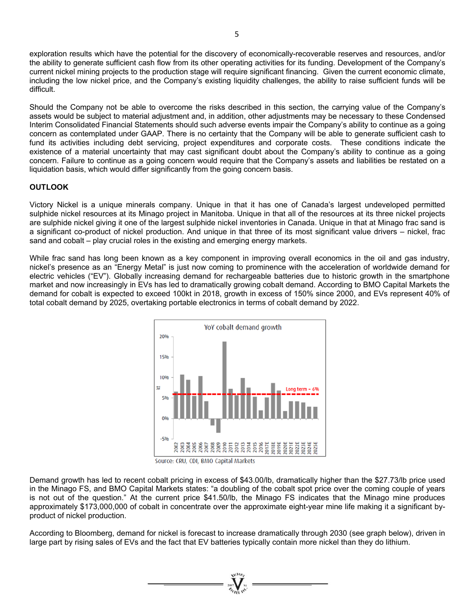exploration results which have the potential for the discovery of economically-recoverable reserves and resources, and/or the ability to generate sufficient cash flow from its other operating activities for its funding. Development of the Company's current nickel mining projects to the production stage will require significant financing. Given the current economic climate, including the low nickel price, and the Company's existing liquidity challenges, the ability to raise sufficient funds will be difficult.

Should the Company not be able to overcome the risks described in this section, the carrying value of the Company's assets would be subject to material adjustment and, in addition, other adjustments may be necessary to these Condensed Interim Consolidated Financial Statements should such adverse events impair the Company's ability to continue as a going concern as contemplated under GAAP. There is no certainty that the Company will be able to generate sufficient cash to fund its activities including debt servicing, project expenditures and corporate costs. These conditions indicate the existence of a material uncertainty that may cast significant doubt about the Company's ability to continue as a going concern. Failure to continue as a going concern would require that the Company's assets and liabilities be restated on a liquidation basis, which would differ significantly from the going concern basis.

# **OUTLOOK**

Victory Nickel is a unique minerals company. Unique in that it has one of Canada's largest undeveloped permitted sulphide nickel resources at its Minago project in Manitoba. Unique in that all of the resources at its three nickel projects are sulphide nickel giving it one of the largest sulphide nickel inventories in Canada. Unique in that at Minago frac sand is a significant co-product of nickel production. And unique in that three of its most significant value drivers – nickel, frac sand and cobalt – play crucial roles in the existing and emerging energy markets.

While frac sand has long been known as a key component in improving overall economics in the oil and gas industry, nickel's presence as an "Energy Metal" is just now coming to prominence with the acceleration of worldwide demand for electric vehicles ("EV"). Globally increasing demand for rechargeable batteries due to historic growth in the smartphone market and now increasingly in EVs has led to dramatically growing cobalt demand. According to BMO Capital Markets the demand for cobalt is expected to exceed 100kt in 2018, growth in excess of 150% since 2000, and EVs represent 40% of total cobalt demand by 2025, overtaking portable electronics in terms of cobalt demand by 2022.



Source: CRU, CDI, BMO Capital Markets

Demand growth has led to recent cobalt pricing in excess of \$43.00/lb, dramatically higher than the \$27.73/lb price used in the Minago FS, and BMO Capital Markets states: "a doubling of the cobalt spot price over the coming couple of years is not out of the question." At the current price \$41.50/lb, the Minago FS indicates that the Minago mine produces approximately \$173,000,000 of cobalt in concentrate over the approximate eight-year mine life making it a significant byproduct of nickel production.

According to Bloomberg, demand for nickel is forecast to increase dramatically through 2030 (see graph below), driven in large part by rising sales of EVs and the fact that EV batteries typically contain more nickel than they do lithium.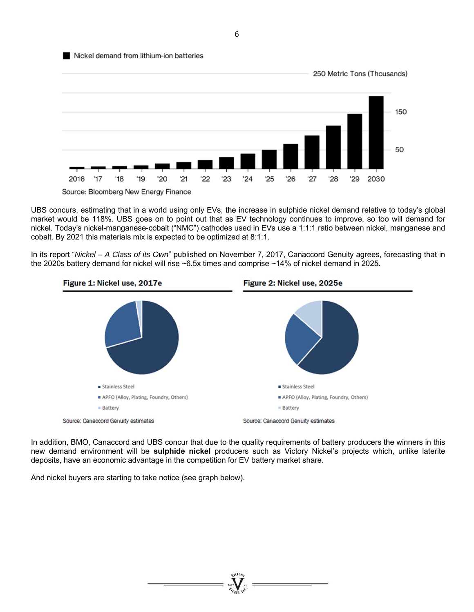

UBS concurs, estimating that in a world using only EVs, the increase in sulphide nickel demand relative to today's global market would be 118%. UBS goes on to point out that as EV technology continues to improve, so too will demand for nickel. Today's nickel-manganese-cobalt ("NMC") cathodes used in EVs use a 1:1:1 ratio between nickel, manganese and cobalt. By 2021 this materials mix is expected to be optimized at 8:1:1.

In its report "*Nickel – A Class of its Own*" published on November 7, 2017, Canaccord Genuity agrees, forecasting that in the 2020s battery demand for nickel will rise ~6.5x times and comprise ~14% of nickel demand in 2025.



In addition, BMO, Canaccord and UBS concur that due to the quality requirements of battery producers the winners in this new demand environment will be **sulphide nickel** producers such as Victory Nickel's projects which, unlike laterite deposits, have an economic advantage in the competition for EV battery market share.

And nickel buyers are starting to take notice (see graph below).

6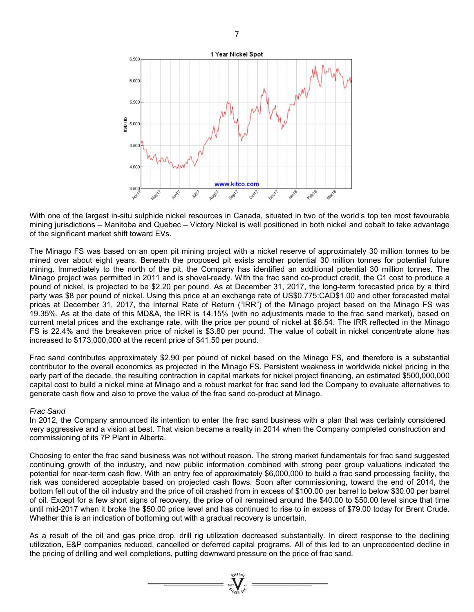

With one of the largest in-situ sulphide nickel resources in Canada, situated in two of the world's top ten most favourable mining jurisdictions – Manitoba and Quebec – Victory Nickel is well positioned in both nickel and cobalt to take advantage of the significant market shift toward EVs.

The Minago FS was based on an open pit mining project with a nickel reserve of approximately 30 million tonnes to be mined over about eight years. Beneath the proposed pit exists another potential 30 million tonnes for potential future mining. Immediately to the north of the pit, the Company has identified an additional potential 30 million tonnes. The Minago project was permitted in 2011 and is shovel-ready. With the frac sand co-product credit, the C1 cost to produce a pound of nickel, is projected to be \$2.20 per pound. As at December 31, 2017, the long-term forecasted price by a third party was \$8 per pound of nickel. Using this price at an exchange rate of US\$0.775:CAD\$1.00 and other forecasted metal prices at December 31, 2017, the Internal Rate of Return ("IRR") of the Minago project based on the Minago FS was 19.35%. As at the date of this MD&A, the IRR is 14.15% (with no adjustments made to the frac sand market), based on current metal prices and the exchange rate, with the price per pound of nickel at \$6.54. The IRR reflected in the Minago FS is 22.4% and the breakeven price of nickel is \$3.80 per pound. The value of cobalt in nickel concentrate alone has increased to \$173,000,000 at the recent price of \$41.50 per pound.

Frac sand contributes approximately \$2.90 per pound of nickel based on the Minago FS, and therefore is a substantial contributor to the overall economics as projected in the Minago FS. Persistent weakness in worldwide nickel pricing in the early part of the decade, the resulting contraction in capital markets for nickel project financing, an estimated \$500,000,000 capital cost to build a nickel mine at Minago and a robust market for frac sand led the Company to evaluate alternatives to generate cash flow and also to prove the value of the frac sand co-product at Minago.

## *Frac Sand*

In 2012, the Company announced its intention to enter the frac sand business with a plan that was certainly considered very aggressive and a vision at best. That vision became a reality in 2014 when the Company completed construction and commissioning of its 7P Plant in Alberta.

Choosing to enter the frac sand business was not without reason. The strong market fundamentals for frac sand suggested continuing growth of the industry, and new public information combined with strong peer group valuations indicated the potential for near-term cash flow. With an entry fee of approximately \$6,000,000 to build a frac sand processing facility, the risk was considered acceptable based on projected cash flows. Soon after commissioning, toward the end of 2014, the bottom fell out of the oil industry and the price of oil crashed from in excess of \$100.00 per barrel to below \$30.00 per barrel of oil. Except for a few short signs of recovery, the price of oil remained around the \$40.00 to \$50.00 level since that time until mid-2017 when it broke the \$50.00 price level and has continued to rise to in excess of \$79.00 today for Brent Crude. Whether this is an indication of bottoming out with a gradual recovery is uncertain.

As a result of the oil and gas price drop, drill rig utilization decreased substantially. In direct response to the declining utilization, E&P companies reduced, cancelled or deferred capital programs. All of this led to an unprecedented decline in the pricing of drilling and well completions, putting downward pressure on the price of frac sand.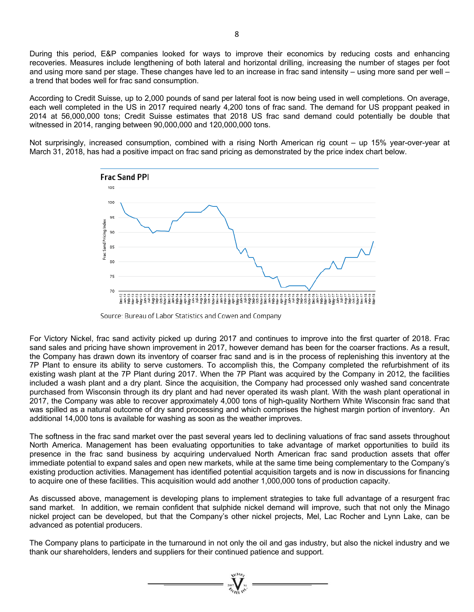During this period, E&P companies looked for ways to improve their economics by reducing costs and enhancing recoveries. Measures include lengthening of both lateral and horizontal drilling, increasing the number of stages per foot and using more sand per stage. These changes have led to an increase in frac sand intensity – using more sand per well – a trend that bodes well for frac sand consumption.

According to Credit Suisse, up to 2,000 pounds of sand per lateral foot is now being used in well completions. On average, each well completed in the US in 2017 required nearly 4,200 tons of frac sand. The demand for US proppant peaked in 2014 at 56,000,000 tons; Credit Suisse estimates that 2018 US frac sand demand could potentially be double that witnessed in 2014, ranging between 90,000,000 and 120,000,000 tons.

Not surprisingly, increased consumption, combined with a rising North American rig count – up 15% year-over-year at March 31, 2018, has had a positive impact on frac sand pricing as demonstrated by the price index chart below.



Source: Bureau of Labor Statistics and Cowen and Company

For Victory Nickel, frac sand activity picked up during 2017 and continues to improve into the first quarter of 2018. Frac sand sales and pricing have shown improvement in 2017, however demand has been for the coarser fractions. As a result, the Company has drawn down its inventory of coarser frac sand and is in the process of replenishing this inventory at the 7P Plant to ensure its ability to serve customers. To accomplish this, the Company completed the refurbishment of its existing wash plant at the 7P Plant during 2017. When the 7P Plant was acquired by the Company in 2012, the facilities included a wash plant and a dry plant. Since the acquisition, the Company had processed only washed sand concentrate purchased from Wisconsin through its dry plant and had never operated its wash plant. With the wash plant operational in 2017, the Company was able to recover approximately 4,000 tons of high-quality Northern White Wisconsin frac sand that was spilled as a natural outcome of dry sand processing and which comprises the highest margin portion of inventory. An additional 14,000 tons is available for washing as soon as the weather improves.

The softness in the frac sand market over the past several years led to declining valuations of frac sand assets throughout North America. Management has been evaluating opportunities to take advantage of market opportunities to build its presence in the frac sand business by acquiring undervalued North American frac sand production assets that offer immediate potential to expand sales and open new markets, while at the same time being complementary to the Company's existing production activities. Management has identified potential acquisition targets and is now in discussions for financing to acquire one of these facilities. This acquisition would add another 1,000,000 tons of production capacity.

As discussed above, management is developing plans to implement strategies to take full advantage of a resurgent frac sand market. In addition, we remain confident that sulphide nickel demand will improve, such that not only the Minago nickel project can be developed, but that the Company's other nickel projects, Mel, Lac Rocher and Lynn Lake, can be advanced as potential producers.

The Company plans to participate in the turnaround in not only the oil and gas industry, but also the nickel industry and we thank our shareholders, lenders and suppliers for their continued patience and support.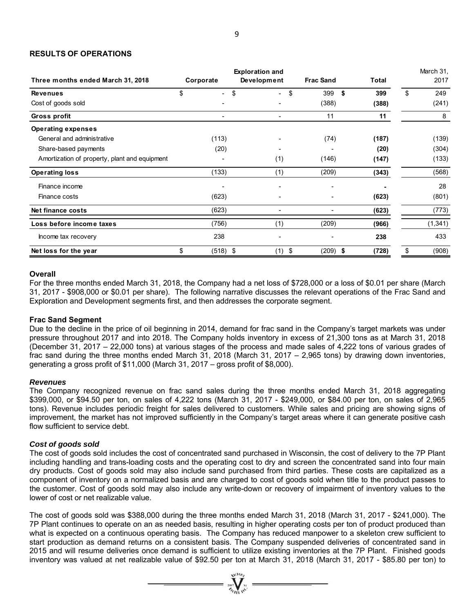## **RESULTS OF OPERATIONS**

| Three months ended March 31, 2018             | Corporate | <b>Exploration and</b>         | Development | <b>Frac Sand</b> | <b>Total</b> | March 31,<br>2017 |  |
|-----------------------------------------------|-----------|--------------------------------|-------------|------------------|--------------|-------------------|--|
| <b>Revenues</b>                               | \$        | \$<br>$\overline{\phantom{a}}$ | \$<br>۰     | 399<br>- \$      | 399          | \$<br>249         |  |
| Cost of goods sold                            |           |                                |             | (388)            | (388)        | (241)             |  |
| Gross profit                                  |           | $\overline{\phantom{a}}$       | ٠           | 11               | 11           | 8                 |  |
| <b>Operating expenses</b>                     |           |                                |             |                  |              |                   |  |
| General and administrative                    |           | (113)                          |             | (74)             | (187)        | (139)             |  |
| Share-based payments                          |           | (20)                           |             |                  | (20)         | (304)             |  |
| Amortization of property, plant and equipment |           |                                | (1)         | (146)<br>(147)   |              | (133)             |  |
| <b>Operating loss</b>                         |           | (133)                          | (1)         | (209)            | (343)        | (568)             |  |
| Finance income                                |           | $\overline{\phantom{0}}$       |             |                  |              | 28                |  |
| Finance costs                                 |           | (623)                          |             |                  | (623)        | (801)             |  |
| Net finance costs                             |           | (623)                          | ٠           |                  | (623)        | (773)             |  |
| Loss before income taxes                      |           | (756)                          | (1)         | (209)            | (966)        | (1, 341)          |  |
| Income tax recovery                           |           | 238                            |             |                  | 238          | 433               |  |
| Net loss for the year                         | \$        | (518) \$                       | \$<br>(1)   | $(209)$ \$       | (728)        | \$<br>(908)       |  |

#### **Overall**

For the three months ended March 31, 2018, the Company had a net loss of \$728,000 or a loss of \$0.01 per share (March 31, 2017 - \$908,000 or \$0.01 per share). The following narrative discusses the relevant operations of the Frac Sand and Exploration and Development segments first, and then addresses the corporate segment.

## **Frac Sand Segment**

Due to the decline in the price of oil beginning in 2014, demand for frac sand in the Company's target markets was under pressure throughout 2017 and into 2018. The Company holds inventory in excess of 21,300 tons as at March 31, 2018 (December 31, 2017 – 22,000 tons) at various stages of the process and made sales of 4,222 tons of various grades of frac sand during the three months ended March 31, 2018 (March 31, 2017 – 2,965 tons) by drawing down inventories, generating a gross profit of \$11,000 (March 31, 2017 – gross profit of \$8,000).

#### *Revenues*

The Company recognized revenue on frac sand sales during the three months ended March 31, 2018 aggregating \$399,000, or \$94.50 per ton, on sales of 4,222 tons (March 31, 2017 - \$249,000, or \$84.00 per ton, on sales of 2,965 tons). Revenue includes periodic freight for sales delivered to customers. While sales and pricing are showing signs of improvement, the market has not improved sufficiently in the Company's target areas where it can generate positive cash flow sufficient to service debt.

## *Cost of goods sold*

The cost of goods sold includes the cost of concentrated sand purchased in Wisconsin, the cost of delivery to the 7P Plant including handling and trans-loading costs and the operating cost to dry and screen the concentrated sand into four main dry products. Cost of goods sold may also include sand purchased from third parties. These costs are capitalized as a component of inventory on a normalized basis and are charged to cost of goods sold when title to the product passes to the customer. Cost of goods sold may also include any write-down or recovery of impairment of inventory values to the lower of cost or net realizable value.

The cost of goods sold was \$388,000 during the three months ended March 31, 2018 (March 31, 2017 - \$241,000). The 7P Plant continues to operate on an as needed basis, resulting in higher operating costs per ton of product produced than what is expected on a continuous operating basis. The Company has reduced manpower to a skeleton crew sufficient to start production as demand returns on a consistent basis. The Company suspended deliveries of concentrated sand in 2015 and will resume deliveries once demand is sufficient to utilize existing inventories at the 7P Plant. Finished goods inventory was valued at net realizable value of \$92.50 per ton at March 31, 2018 (March 31, 2017 - \$85.80 per ton) to

 $\sum_{\alpha_{\alpha}}^{\infty}$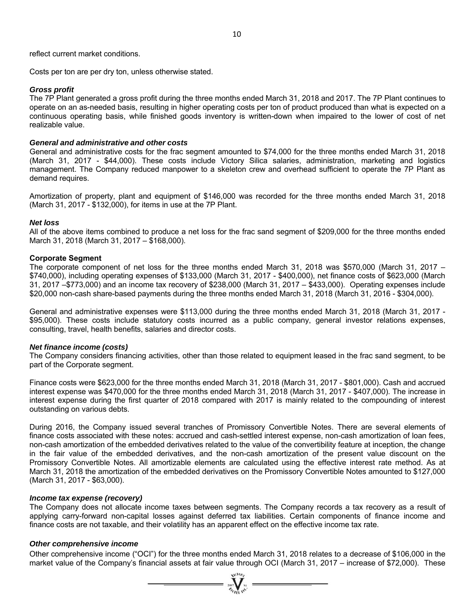reflect current market conditions.

Costs per ton are per dry ton, unless otherwise stated.

## *Gross profit*

The 7P Plant generated a gross profit during the three months ended March 31, 2018 and 2017. The 7P Plant continues to operate on an as-needed basis, resulting in higher operating costs per ton of product produced than what is expected on a continuous operating basis, while finished goods inventory is written-down when impaired to the lower of cost of net realizable value.

#### *General and administrative and other costs*

General and administrative costs for the frac segment amounted to \$74,000 for the three months ended March 31, 2018 (March 31, 2017 - \$44,000). These costs include Victory Silica salaries, administration, marketing and logistics management. The Company reduced manpower to a skeleton crew and overhead sufficient to operate the 7P Plant as demand requires.

Amortization of property, plant and equipment of \$146,000 was recorded for the three months ended March 31, 2018 (March 31, 2017 - \$132,000), for items in use at the 7P Plant.

#### *Net loss*

All of the above items combined to produce a net loss for the frac sand segment of \$209,000 for the three months ended March 31, 2018 (March 31, 2017 – \$168,000).

#### **Corporate Segment**

The corporate component of net loss for the three months ended March 31, 2018 was \$570,000 (March 31, 2017 – \$740,000), including operating expenses of \$133,000 (March 31, 2017 - \$400,000), net finance costs of \$623,000 (March 31, 2017 –\$773,000) and an income tax recovery of \$238,000 (March 31, 2017 – \$433,000). Operating expenses include \$20,000 non-cash share-based payments during the three months ended March 31, 2018 (March 31, 2016 - \$304,000).

General and administrative expenses were \$113,000 during the three months ended March 31, 2018 (March 31, 2017 - \$95,000). These costs include statutory costs incurred as a public company, general investor relations expenses, consulting, travel, health benefits, salaries and director costs.

#### *Net finance income (costs)*

The Company considers financing activities, other than those related to equipment leased in the frac sand segment, to be part of the Corporate segment.

Finance costs were \$623,000 for the three months ended March 31, 2018 (March 31, 2017 - \$801,000). Cash and accrued interest expense was \$470,000 for the three months ended March 31, 2018 (March 31, 2017 - \$407,000). The increase in interest expense during the first quarter of 2018 compared with 2017 is mainly related to the compounding of interest outstanding on various debts.

During 2016, the Company issued several tranches of Promissory Convertible Notes. There are several elements of finance costs associated with these notes: accrued and cash-settled interest expense, non-cash amortization of loan fees, non-cash amortization of the embedded derivatives related to the value of the convertibility feature at inception, the change in the fair value of the embedded derivatives, and the non-cash amortization of the present value discount on the Promissory Convertible Notes. All amortizable elements are calculated using the effective interest rate method. As at March 31, 2018 the amortization of the embedded derivatives on the Promissory Convertible Notes amounted to \$127,000 (March 31, 2017 - \$63,000).

#### *Income tax expense (recovery)*

The Company does not allocate income taxes between segments. The Company records a tax recovery as a result of applying carry-forward non-capital losses against deferred tax liabilities. Certain components of finance income and finance costs are not taxable, and their volatility has an apparent effect on the effective income tax rate.

## *Other comprehensive income*

Other comprehensive income ("OCI") for the three months ended March 31, 2018 relates to a decrease of \$106,000 in the market value of the Company's financial assets at fair value through OCI (March 31, 2017 – increase of \$72,000). These

 $\sum_{\alpha}$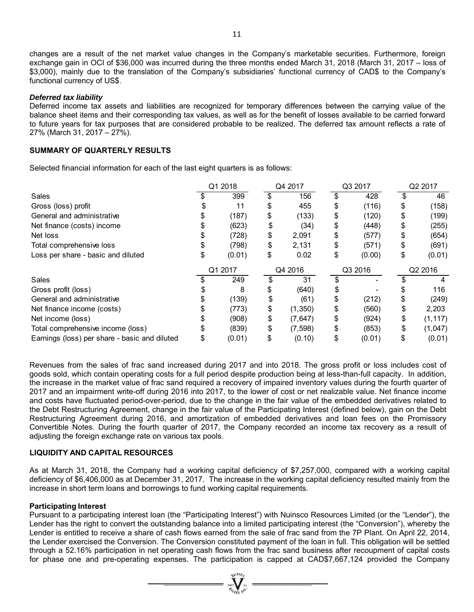changes are a result of the net market value changes in the Company's marketable securities. Furthermore, foreign exchange gain in OCI of \$36,000 was incurred during the three months ended March 31, 2018 (March 31, 2017 – loss of \$3,000), mainly due to the translation of the Company's subsidiaries' functional currency of CAD\$ to the Company's functional currency of US\$.

# *Deferred tax liability*

Deferred income tax assets and liabilities are recognized for temporary differences between the carrying value of the balance sheet items and their corresponding tax values, as well as for the benefit of losses available to be carried forward to future years for tax purposes that are considered probable to be realized. The deferred tax amount reflects a rate of 27% (March 31, 2017 – 27%).

# **SUMMARY OF QUARTERLY RESULTS**

Selected financial information for each of the last eight quarters is as follows:

|                                               |         | Q1 2018 | Q4 2017 |          | Q3 2017 |        | Q2 2017 |          |
|-----------------------------------------------|---------|---------|---------|----------|---------|--------|---------|----------|
| Sales                                         |         | 399     |         | 156      |         | 428    |         | 46       |
| Gross (loss) profit                           |         | 11      | \$      | 455      | \$      | (116)  | \$      | (158)    |
| General and administrative                    |         | (187)   | \$      | (133)    | \$      | (120)  | \$      | (199)    |
| Net finance (costs) income                    |         | (623)   | \$      | (34)     | \$      | (448)  | \$      | (255)    |
| Net loss                                      |         | (728)   | \$      | 2,091    | \$      | (577)  | \$      | (654)    |
| Total comprehensive loss                      |         | (798)   | \$      | 2,131    | \$      | (571)  | \$      | (691)    |
| Loss per share - basic and diluted            |         | (0.01)  | \$      | 0.02     | \$      | (0.00) | \$      | (0.01)   |
|                                               | Q1 2017 |         | Q4 2016 |          | Q3 2016 |        | Q2 2016 |          |
| Sales                                         |         | 249     |         | 31       |         |        |         |          |
| Gross profit (loss)                           |         | 8       | \$      | (640)    | \$      |        |         | 116      |
| General and administrative                    |         | (139)   | \$      | (61)     | \$      | (212)  | \$      | (249)    |
| Net finance income (costs)                    |         | (773)   | \$      | (1, 350) | \$      | (560)  | \$      | 2,203    |
| Net income (loss)                             |         | (908)   | \$      | (7, 647) | \$      | (924)  | \$      | (1, 117) |
| Total comprehensive income (loss)             |         | (839)   | \$      | (7, 598) | \$      | (853)  | \$      | (1,047)  |
| Earnings (loss) per share - basic and diluted |         | (0.01)  | \$      | (0.10)   | \$      | (0.01) | \$      | (0.01)   |

Revenues from the sales of frac sand increased during 2017 and into 2018. The gross profit or loss includes cost of goods sold, which contain operating costs for a full period despite production being at less-than-full capacity. In addition, the increase in the market value of frac sand required a recovery of impaired inventory values during the fourth quarter of 2017 and an impairment write-off during 2016 into 2017, to the lower of cost or net realizable value. Net finance income and costs have fluctuated period-over-period, due to the change in the fair value of the embedded derivatives related to the Debt Restructuring Agreement, change in the fair value of the Participating Interest (defined below), gain on the Debt Restructuring Agreement during 2016, and amortization of embedded derivatives and loan fees on the Promissory Convertible Notes. During the fourth quarter of 2017, the Company recorded an income tax recovery as a result of adjusting the foreign exchange rate on various tax pools.

# **LIQUIDITY AND CAPITAL RESOURCES**

As at March 31, 2018, the Company had a working capital deficiency of \$7,257,000, compared with a working capital deficiency of \$6,406,000 as at December 31, 2017. The increase in the working capital deficiency resulted mainly from the increase in short term loans and borrowings to fund working capital requirements.

## **Participating Interest**

Pursuant to a participating interest loan (the "Participating Interest") with Nuinsco Resources Limited (or the "Lender"), the Lender has the right to convert the outstanding balance into a limited participating interest (the "Conversion"), whereby the Lender is entitled to receive a share of cash flows earned from the sale of frac sand from the 7P Plant. On April 22, 2014, the Lender exercised the Conversion. The Conversion constituted payment of the loan in full. This obligation will be settled through a 52.16% participation in net operating cash flows from the frac sand business after recoupment of capital costs for phase one and pre-operating expenses. The participation is capped at CAD\$7,667,124 provided the Company

 $\sum_{\alpha}$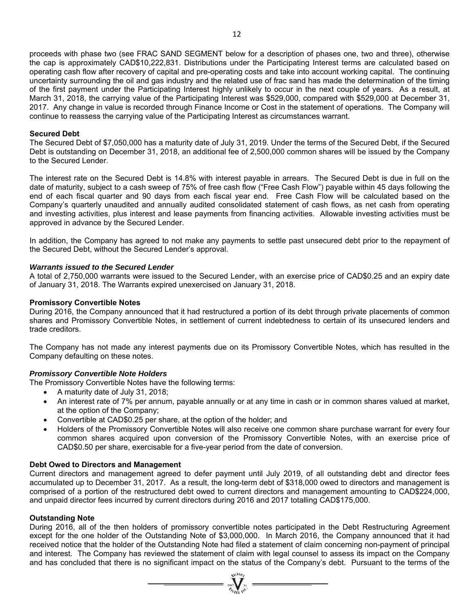proceeds with phase two (see FRAC SAND SEGMENT below for a description of phases one, two and three), otherwise the cap is approximately CAD\$10,222,831. Distributions under the Participating Interest terms are calculated based on operating cash flow after recovery of capital and pre-operating costs and take into account working capital. The continuing uncertainty surrounding the oil and gas industry and the related use of frac sand has made the determination of the timing of the first payment under the Participating Interest highly unlikely to occur in the next couple of years. As a result, at March 31, 2018, the carrying value of the Participating Interest was \$529,000, compared with \$529,000 at December 31, 2017. Any change in value is recorded through Finance Income or Cost in the statement of operations. The Company will continue to reassess the carrying value of the Participating Interest as circumstances warrant.

## **Secured Debt**

The Secured Debt of \$7,050,000 has a maturity date of July 31, 2019. Under the terms of the Secured Debt, if the Secured Debt is outstanding on December 31, 2018, an additional fee of 2,500,000 common shares will be issued by the Company to the Secured Lender.

The interest rate on the Secured Debt is 14.8% with interest payable in arrears. The Secured Debt is due in full on the date of maturity, subject to a cash sweep of 75% of free cash flow ("Free Cash Flow") payable within 45 days following the end of each fiscal quarter and 90 days from each fiscal year end. Free Cash Flow will be calculated based on the Company's quarterly unaudited and annually audited consolidated statement of cash flows, as net cash from operating and investing activities, plus interest and lease payments from financing activities. Allowable investing activities must be approved in advance by the Secured Lender.

In addition, the Company has agreed to not make any payments to settle past unsecured debt prior to the repayment of the Secured Debt, without the Secured Lender's approval.

## *Warrants issued to the Secured Lender*

A total of 2,750,000 warrants were issued to the Secured Lender, with an exercise price of CAD\$0.25 and an expiry date of January 31, 2018. The Warrants expired unexercised on January 31, 2018.

#### **Promissory Convertible Notes**

During 2016, the Company announced that it had restructured a portion of its debt through private placements of common shares and Promissory Convertible Notes, in settlement of current indebtedness to certain of its unsecured lenders and trade creditors.

The Company has not made any interest payments due on its Promissory Convertible Notes, which has resulted in the Company defaulting on these notes.

## *Promissory Convertible Note Holders*

The Promissory Convertible Notes have the following terms:

- A maturity date of July 31, 2018;
- An interest rate of 7% per annum, payable annually or at any time in cash or in common shares valued at market, at the option of the Company;
- Convertible at CAD\$0.25 per share, at the option of the holder; and
- Holders of the Promissory Convertible Notes will also receive one common share purchase warrant for every four common shares acquired upon conversion of the Promissory Convertible Notes, with an exercise price of CAD\$0.50 per share, exercisable for a five-year period from the date of conversion.

#### **Debt Owed to Directors and Management**

Current directors and management agreed to defer payment until July 2019, of all outstanding debt and director fees accumulated up to December 31, 2017. As a result, the long-term debt of \$318,000 owed to directors and management is comprised of a portion of the restructured debt owed to current directors and management amounting to CAD\$224,000, and unpaid director fees incurred by current directors during 2016 and 2017 totalling CAD\$175,000.

#### **Outstanding Note**

During 2016, all of the then holders of promissory convertible notes participated in the Debt Restructuring Agreement except for the one holder of the Outstanding Note of \$3,000,000. In March 2016, the Company announced that it had received notice that the holder of the Outstanding Note had filed a statement of claim concerning non-payment of principal and interest. The Company has reviewed the statement of claim with legal counsel to assess its impact on the Company and has concluded that there is no significant impact on the status of the Company's debt. Pursuant to the terms of the

 $\sum_{j=1}^{N} \sum_{n=1}^{N} x_i =$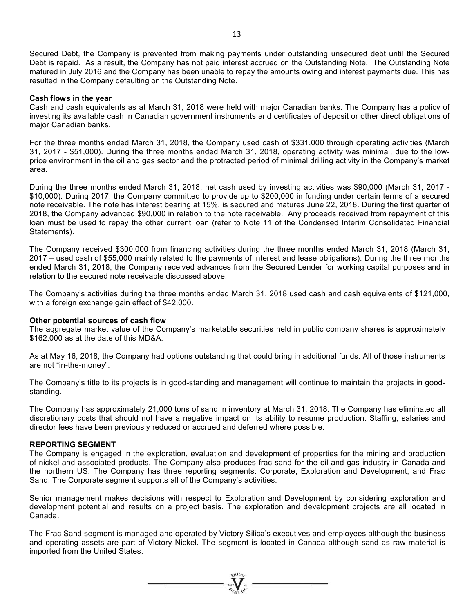Secured Debt, the Company is prevented from making payments under outstanding unsecured debt until the Secured Debt is repaid. As a result, the Company has not paid interest accrued on the Outstanding Note. The Outstanding Note matured in July 2016 and the Company has been unable to repay the amounts owing and interest payments due. This has resulted in the Company defaulting on the Outstanding Note.

#### **Cash flows in the year**

Cash and cash equivalents as at March 31, 2018 were held with major Canadian banks. The Company has a policy of investing its available cash in Canadian government instruments and certificates of deposit or other direct obligations of major Canadian banks.

For the three months ended March 31, 2018, the Company used cash of \$331,000 through operating activities (March 31, 2017 - \$51,000). During the three months ended March 31, 2018, operating activity was minimal, due to the lowprice environment in the oil and gas sector and the protracted period of minimal drilling activity in the Company's market area.

During the three months ended March 31, 2018, net cash used by investing activities was \$90,000 (March 31, 2017 - \$10,000). During 2017, the Company committed to provide up to \$200,000 in funding under certain terms of a secured note receivable. The note has interest bearing at 15%, is secured and matures June 22, 2018. During the first quarter of 2018, the Company advanced \$90,000 in relation to the note receivable. Any proceeds received from repayment of this loan must be used to repay the other current loan (refer to Note 11 of the Condensed Interim Consolidated Financial Statements).

The Company received \$300,000 from financing activities during the three months ended March 31, 2018 (March 31, 2017 – used cash of \$55,000 mainly related to the payments of interest and lease obligations). During the three months ended March 31, 2018, the Company received advances from the Secured Lender for working capital purposes and in relation to the secured note receivable discussed above.

The Company's activities during the three months ended March 31, 2018 used cash and cash equivalents of \$121,000, with a foreign exchange gain effect of \$42,000.

## **Other potential sources of cash flow**

The aggregate market value of the Company's marketable securities held in public company shares is approximately \$162,000 as at the date of this MD&A.

As at May 16, 2018, the Company had options outstanding that could bring in additional funds. All of those instruments are not "in-the-money".

The Company's title to its projects is in good-standing and management will continue to maintain the projects in goodstanding.

The Company has approximately 21,000 tons of sand in inventory at March 31, 2018. The Company has eliminated all discretionary costs that should not have a negative impact on its ability to resume production. Staffing, salaries and director fees have been previously reduced or accrued and deferred where possible.

#### **REPORTING SEGMENT**

The Company is engaged in the exploration, evaluation and development of properties for the mining and production of nickel and associated products. The Company also produces frac sand for the oil and gas industry in Canada and the northern US. The Company has three reporting segments: Corporate, Exploration and Development, and Frac Sand. The Corporate segment supports all of the Company's activities.

Senior management makes decisions with respect to Exploration and Development by considering exploration and development potential and results on a project basis. The exploration and development projects are all located in Canada.

The Frac Sand segment is managed and operated by Victory Silica's executives and employees although the business and operating assets are part of Victory Nickel. The segment is located in Canada although sand as raw material is imported from the United States.

 $=\mathbf{v}$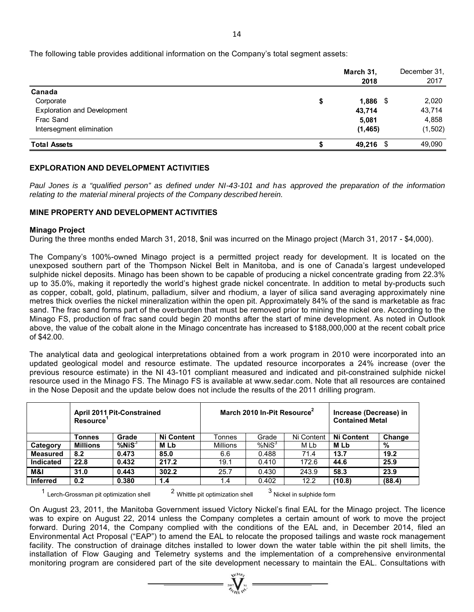|                                    |    | March 31,<br>2018 | December 31.<br>2017 |
|------------------------------------|----|-------------------|----------------------|
| Canada                             |    |                   |                      |
| Corporate                          | \$ | $1,886$ \$        | 2,020                |
| <b>Exploration and Development</b> |    | 43,714            | 43,714               |
| Frac Sand                          |    | 5,081             | 4,858                |
| Intersegment elimination           |    | (1, 465)          | (1, 502)             |
| <b>Total Assets</b>                | S  | 49,216 \$         | 49,090               |

# **EXPLORATION AND DEVELOPMENT ACTIVITIES**

*Paul Jones is a "qualified person" as defined under NI-43-101 and has approved the preparation of the information relating to the material mineral projects of the Company described herein.* 

# **MINE PROPERTY AND DEVELOPMENT ACTIVITIES**

## **Minago Project**

During the three months ended March 31, 2018, \$nil was incurred on the Minago project (March 31, 2017 - \$4,000).

The Company's 100%-owned Minago project is a permitted project ready for development. It is located on the unexposed southern part of the Thompson Nickel Belt in Manitoba, and is one of Canada's largest undeveloped sulphide nickel deposits. Minago has been shown to be capable of producing a nickel concentrate grading from 22.3% up to 35.0%, making it reportedly the world's highest grade nickel concentrate. In addition to metal by-products such as copper, cobalt, gold, platinum, palladium, silver and rhodium, a layer of silica sand averaging approximately nine metres thick overlies the nickel mineralization within the open pit. Approximately 84% of the sand is marketable as frac sand. The frac sand forms part of the overburden that must be removed prior to mining the nickel ore. According to the Minago FS, production of frac sand could begin 20 months after the start of mine development. As noted in Outlook above, the value of the cobalt alone in the Minago concentrate has increased to \$188,000,000 at the recent cobalt price of \$42.00.

The analytical data and geological interpretations obtained from a work program in 2010 were incorporated into an updated geological model and resource estimate. The updated resource incorporates a 24% increase (over the previous resource estimate) in the NI 43-101 compliant measured and indicated and pit-constrained sulphide nickel resource used in the Minago FS. The Minago FS is available at www.sedar.com. Note that all resources are contained in the Nose Deposit and the update below does not include the results of the 2011 drilling program.

|                  | April 2011 Pit-Constrained<br><b>Resource</b> |              |                   | March 2010 In-Pit Resource <sup>2</sup> |                   | Increase (Decrease) in<br><b>Contained Metal</b> |            |        |  |
|------------------|-----------------------------------------------|--------------|-------------------|-----------------------------------------|-------------------|--------------------------------------------------|------------|--------|--|
|                  | <b>Tonnes</b>                                 | Grade        | <b>Ni Content</b> | Tonnes                                  | Grade             | Ni Content                                       | Ni Content | Change |  |
| Category         | <b>Millions</b>                               | $%$ Ni $S^3$ | <b>MLb</b>        | <b>Millions</b>                         | %NiS <sup>3</sup> | M Lb                                             | M Lb       | %      |  |
| <b>Measured</b>  | 8.2                                           | 0.473        | 85.0              | 6.6                                     | 0.488             | 71.4                                             | 13.7       | 19.2   |  |
| <b>Indicated</b> | 22.8                                          | 0.432        | 217.2             | 19.1                                    | 0.410             | 172.6                                            | 44.6       | 25.9   |  |
| M&I              | 31.0                                          | 0.443        | 302.2             | 25.7                                    | 0.430             | 243.9                                            | 58.3       | 23.9   |  |
| <b>Inferred</b>  | 0.2                                           | 0.380        | 1.4               | 1.4                                     | 0.402             | 12.2                                             | (10.8)     | (88.4) |  |

 $1$  Lerch-Grossman pit optimization shell  $2$  Whittle pit optimization shell  $3$  Nickel in sulphide form

On August 23, 2011, the Manitoba Government issued Victory Nickel's final EAL for the Minago project. The licence was to expire on August 22, 2014 unless the Company completes a certain amount of work to move the project forward. During 2014, the Company complied with the conditions of the EAL and, in December 2014, filed an Environmental Act Proposal ("EAP") to amend the EAL to relocate the proposed tailings and waste rock management facility. The construction of drainage ditches installed to lower down the water table within the pit shell limits, the installation of Flow Gauging and Telemetry systems and the implementation of a comprehensive environmental monitoring program are considered part of the site development necessary to maintain the EAL. Consultations with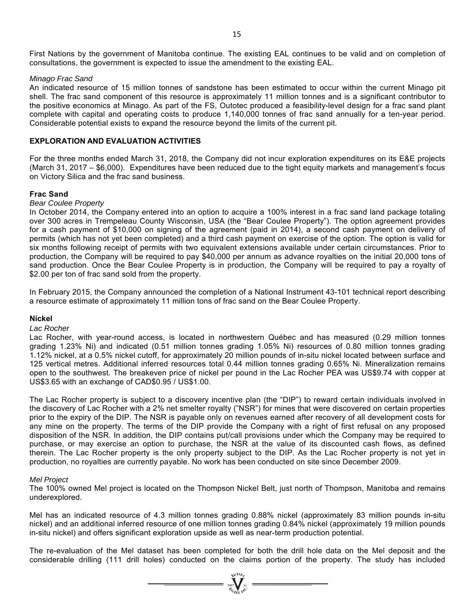First Nations by the government of Manitoba continue. The existing EAL continues to be valid and on completion of consultations, the government is expected to issue the amendment to the existing EAL.

#### *Minago Frac Sand*

An indicated resource of 15 million tonnes of sandstone has been estimated to occur within the current Minago pit shell. The frac sand component of this resource is approximately 11 million tonnes and is a significant contributor to the positive economics at Minago. As part of the FS, Outotec produced a feasibility-level design for a frac sand plant complete with capital and operating costs to produce 1,140,000 tonnes of frac sand annually for a ten-year period. Considerable potential exists to expand the resource beyond the limits of the current pit.

#### **EXPLORATION AND EVALUATION ACTIVITIES**

For the three months ended March 31, 2018, the Company did not incur exploration expenditures on its E&E projects (March 31, 2017 – \$6,000). Expenditures have been reduced due to the tight equity markets and management's focus on Victory Silica and the frac sand business.

#### **Frac Sand**

#### *Bear Coulee Property*

In October 2014, the Company entered into an option to acquire a 100% interest in a frac sand land package totaling over 300 acres in Trempeleau County Wisconsin, USA (the "Bear Coulee Property"). The option agreement provides for a cash payment of \$10,000 on signing of the agreement (paid in 2014), a second cash payment on delivery of permits (which has not yet been completed) and a third cash payment on exercise of the option. The option is valid for six months following receipt of permits with two equivalent extensions available under certain circumstances. Prior to production, the Company will be required to pay \$40,000 per annum as advance royalties on the initial 20,000 tons of sand production. Once the Bear Coulee Property is in production, the Company will be required to pay a royalty of \$2.00 per ton of frac sand sold from the property.

In February 2015, the Company announced the completion of a National Instrument 43-101 technical report describing a resource estimate of approximately 11 million tons of frac sand on the Bear Coulee Property.

## **Nickel**

#### *Lac Rocher*

Lac Rocher, with year-round access, is located in northwestern Québec and has measured (0.29 million tonnes grading 1.23% Ni) and indicated (0.51 million tonnes grading 1.05% Ni) resources of 0.80 million tonnes grading 1.12% nickel, at a 0.5% nickel cutoff, for approximately 20 million pounds of in-situ nickel located between surface and 125 vertical metres. Additional inferred resources total 0.44 million tonnes grading 0.65% Ni. Mineralization remains open to the southwest. The breakeven price of nickel per pound in the Lac Rocher PEA was US\$9.74 with copper at US\$3.65 with an exchange of CAD\$0.95 / US\$1.00.

The Lac Rocher property is subject to a discovery incentive plan (the "DIP") to reward certain individuals involved in the discovery of Lac Rocher with a 2% net smelter royalty ("NSR") for mines that were discovered on certain properties prior to the expiry of the DIP. The NSR is payable only on revenues earned after recovery of all development costs for any mine on the property. The terms of the DIP provide the Company with a right of first refusal on any proposed disposition of the NSR. In addition, the DIP contains put/call provisions under which the Company may be required to purchase, or may exercise an option to purchase, the NSR at the value of its discounted cash flows, as defined therein. The Lac Rocher property is the only property subject to the DIP. As the Lac Rocher property is not yet in production, no royalties are currently payable. No work has been conducted on site since December 2009.

#### *Mel Project*

The 100% owned Mel project is located on the Thompson Nickel Belt, just north of Thompson, Manitoba and remains underexplored.

Mel has an indicated resource of 4.3 million tonnes grading 0.88% nickel (approximately 83 million pounds in-situ nickel) and an additional inferred resource of one million tonnes grading 0.84% nickel (approximately 19 million pounds in-situ nickel) and offers significant exploration upside as well as near-term production potential.

The re-evaluation of the Mel dataset has been completed for both the drill hole data on the Mel deposit and the considerable drilling (111 drill holes) conducted on the claims portion of the property. The study has included

 $\sum_{m=1}^{\infty} \sum_{m=1}^{\infty}$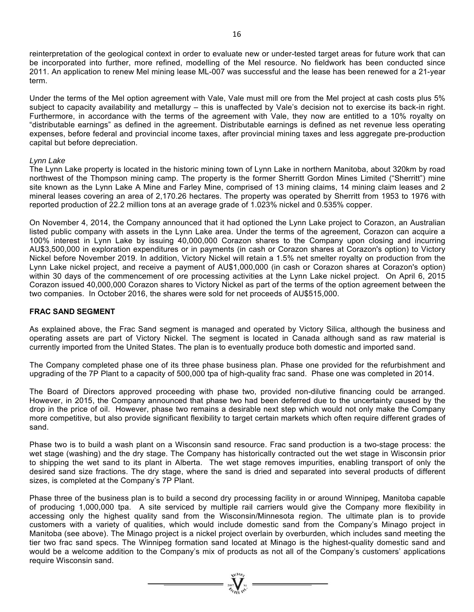reinterpretation of the geological context in order to evaluate new or under-tested target areas for future work that can be incorporated into further, more refined, modelling of the Mel resource. No fieldwork has been conducted since 2011. An application to renew Mel mining lease ML-007 was successful and the lease has been renewed for a 21-year term.

Under the terms of the Mel option agreement with Vale, Vale must mill ore from the Mel project at cash costs plus 5% subject to capacity availability and metallurgy – this is unaffected by Vale's decision not to exercise its back-in right. Furthermore, in accordance with the terms of the agreement with Vale, they now are entitled to a 10% royalty on "distributable earnings" as defined in the agreement. Distributable earnings is defined as net revenue less operating expenses, before federal and provincial income taxes, after provincial mining taxes and less aggregate pre-production capital but before depreciation.

#### *Lynn Lake*

The Lynn Lake property is located in the historic mining town of Lynn Lake in northern Manitoba, about 320km by road northwest of the Thompson mining camp. The property is the former Sherritt Gordon Mines Limited ("Sherritt") mine site known as the Lynn Lake A Mine and Farley Mine, comprised of 13 mining claims, 14 mining claim leases and 2 mineral leases covering an area of 2,170.26 hectares. The property was operated by Sherritt from 1953 to 1976 with reported production of 22.2 million tons at an average grade of 1.023% nickel and 0.535% copper.

On November 4, 2014, the Company announced that it had optioned the Lynn Lake project to Corazon, an Australian listed public company with assets in the Lynn Lake area. Under the terms of the agreement, Corazon can acquire a 100% interest in Lynn Lake by issuing 40,000,000 Corazon shares to the Company upon closing and incurring AU\$3,500,000 in exploration expenditures or in payments (in cash or Corazon shares at Corazon's option) to Victory Nickel before November 2019. In addition, Victory Nickel will retain a 1.5% net smelter royalty on production from the Lynn Lake nickel project, and receive a payment of AU\$1,000,000 (in cash or Corazon shares at Corazon's option) within 30 days of the commencement of ore processing activities at the Lynn Lake nickel project. On April 6, 2015 Corazon issued 40,000,000 Corazon shares to Victory Nickel as part of the terms of the option agreement between the two companies. In October 2016, the shares were sold for net proceeds of AU\$515,000.

## **FRAC SAND SEGMENT**

As explained above, the Frac Sand segment is managed and operated by Victory Silica, although the business and operating assets are part of Victory Nickel. The segment is located in Canada although sand as raw material is currently imported from the United States. The plan is to eventually produce both domestic and imported sand.

The Company completed phase one of its three phase business plan. Phase one provided for the refurbishment and upgrading of the 7P Plant to a capacity of 500,000 tpa of high-quality frac sand. Phase one was completed in 2014.

The Board of Directors approved proceeding with phase two, provided non-dilutive financing could be arranged. However, in 2015, the Company announced that phase two had been deferred due to the uncertainty caused by the drop in the price of oil. However, phase two remains a desirable next step which would not only make the Company more competitive, but also provide significant flexibility to target certain markets which often require different grades of sand.

Phase two is to build a wash plant on a Wisconsin sand resource. Frac sand production is a two-stage process: the wet stage (washing) and the dry stage. The Company has historically contracted out the wet stage in Wisconsin prior to shipping the wet sand to its plant in Alberta. The wet stage removes impurities, enabling transport of only the desired sand size fractions. The dry stage, where the sand is dried and separated into several products of different sizes, is completed at the Company's 7P Plant.

Phase three of the business plan is to build a second dry processing facility in or around Winnipeg, Manitoba capable of producing 1,000,000 tpa. A site serviced by multiple rail carriers would give the Company more flexibility in accessing only the highest quality sand from the Wisconsin/Minnesota region. The ultimate plan is to provide customers with a variety of qualities, which would include domestic sand from the Company's Minago project in Manitoba (see above). The Minago project is a nickel project overlain by overburden, which includes sand meeting the tier two frac sand specs. The Winnipeg formation sand located at Minago is the highest-quality domestic sand and would be a welcome addition to the Company's mix of products as not all of the Company's customers' applications require Wisconsin sand.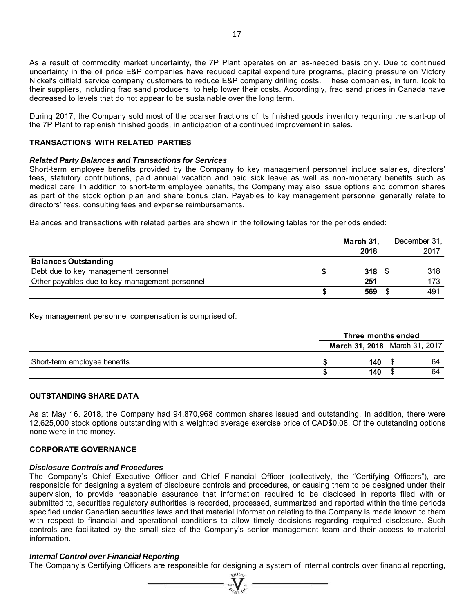As a result of commodity market uncertainty, the 7P Plant operates on an as-needed basis only. Due to continued uncertainty in the oil price E&P companies have reduced capital expenditure programs, placing pressure on Victory Nickel's oilfield service company customers to reduce E&P company drilling costs. These companies, in turn, look to their suppliers, including frac sand producers, to help lower their costs. Accordingly, frac sand prices in Canada have decreased to levels that do not appear to be sustainable over the long term.

During 2017, the Company sold most of the coarser fractions of its finished goods inventory requiring the start-up of the 7P Plant to replenish finished goods, in anticipation of a continued improvement in sales.

## **TRANSACTIONS WITH RELATED PARTIES**

#### *Related Party Balances and Transactions for Services*

Short-term employee benefits provided by the Company to key management personnel include salaries, directors' fees, statutory contributions, paid annual vacation and paid sick leave as well as non-monetary benefits such as medical care. In addition to short-term employee benefits, the Company may also issue options and common shares as part of the stock option plan and share bonus plan. Payables to key management personnel generally relate to directors' fees, consulting fees and expense reimbursements.

Balances and transactions with related parties are shown in the following tables for the periods ended:

|                                                | March 31,     | December 31, |
|------------------------------------------------|---------------|--------------|
|                                                | 2018          | 2017         |
| <b>Balances Outstanding</b>                    |               |              |
| Debt due to key management personnel           | $318 \quad $$ | 318          |
| Other payables due to key management personnel | 251           | 173          |
|                                                | 569           | 491          |

Key management personnel compensation is comprised of:

|                              | Three months ended            |     |  |    |
|------------------------------|-------------------------------|-----|--|----|
|                              | March 31, 2018 March 31, 2017 |     |  |    |
| Short-term employee benefits |                               | 140 |  | 64 |
|                              |                               | 140 |  | 64 |

## **OUTSTANDING SHARE DATA**

As at May 16, 2018, the Company had 94,870,968 common shares issued and outstanding. In addition, there were 12,625,000 stock options outstanding with a weighted average exercise price of CAD\$0.08. Of the outstanding options none were in the money.

#### **CORPORATE GOVERNANCE**

#### *Disclosure Controls and Procedures*

The Company's Chief Executive Officer and Chief Financial Officer (collectively, the "Certifying Officers"), are responsible for designing a system of disclosure controls and procedures, or causing them to be designed under their supervision, to provide reasonable assurance that information required to be disclosed in reports filed with or submitted to, securities regulatory authorities is recorded, processed, summarized and reported within the time periods specified under Canadian securities laws and that material information relating to the Company is made known to them with respect to financial and operational conditions to allow timely decisions regarding required disclosure. Such controls are facilitated by the small size of the Company's senior management team and their access to material information.

## *Internal Control over Financial Reporting*

The Company's Certifying Officers are responsible for designing a system of internal controls over financial reporting,

 $\sum_{\alpha}$